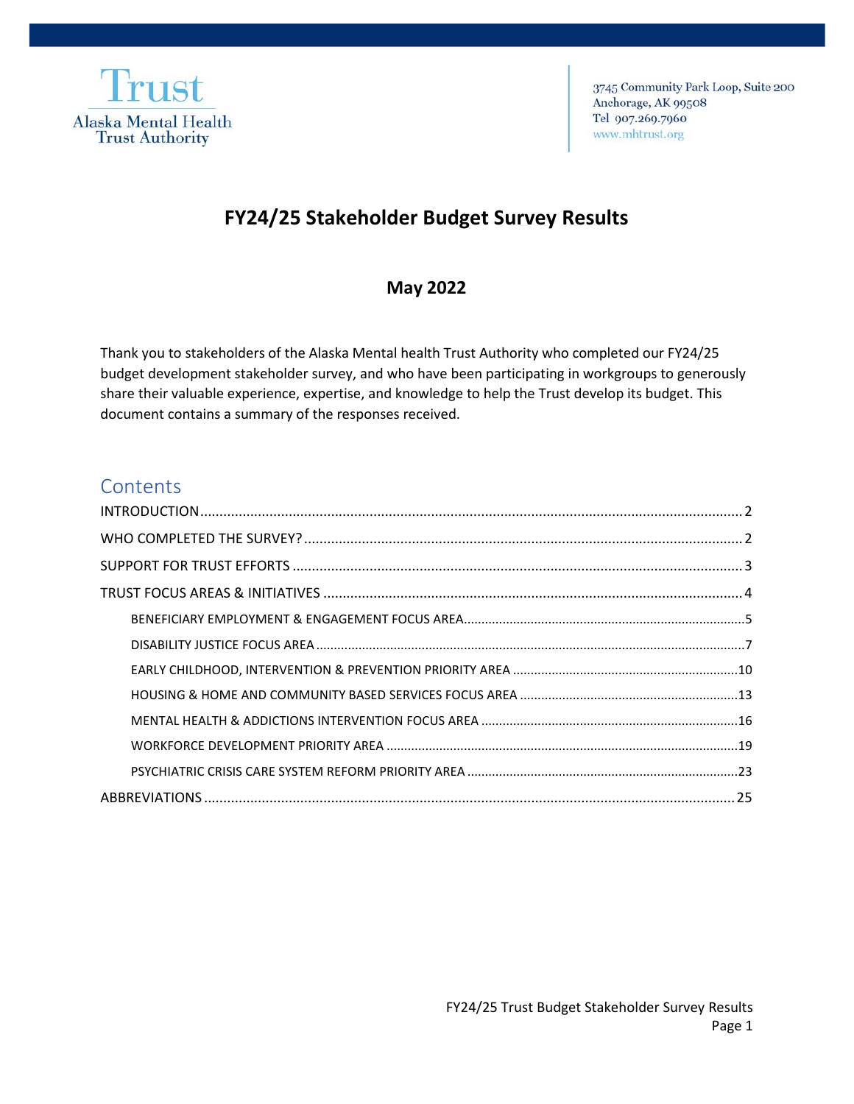

3745 Community Park Loop, Suite 200 Anchorage, AK 99508 Tel 907.269.7960 www.mhtrust.org

# **FY24/25 Stakeholder Budget Survey Results**

## **May 2022**

Thank you to stakeholders of the Alaska Mental health Trust Authority who completed our FY24/25 budget development stakeholder survey, and who have been participating in workgroups to generously share their valuable experience, expertise, and knowledge to help the Trust develop its budget. This document contains a summary of the responses received.

## **Contents**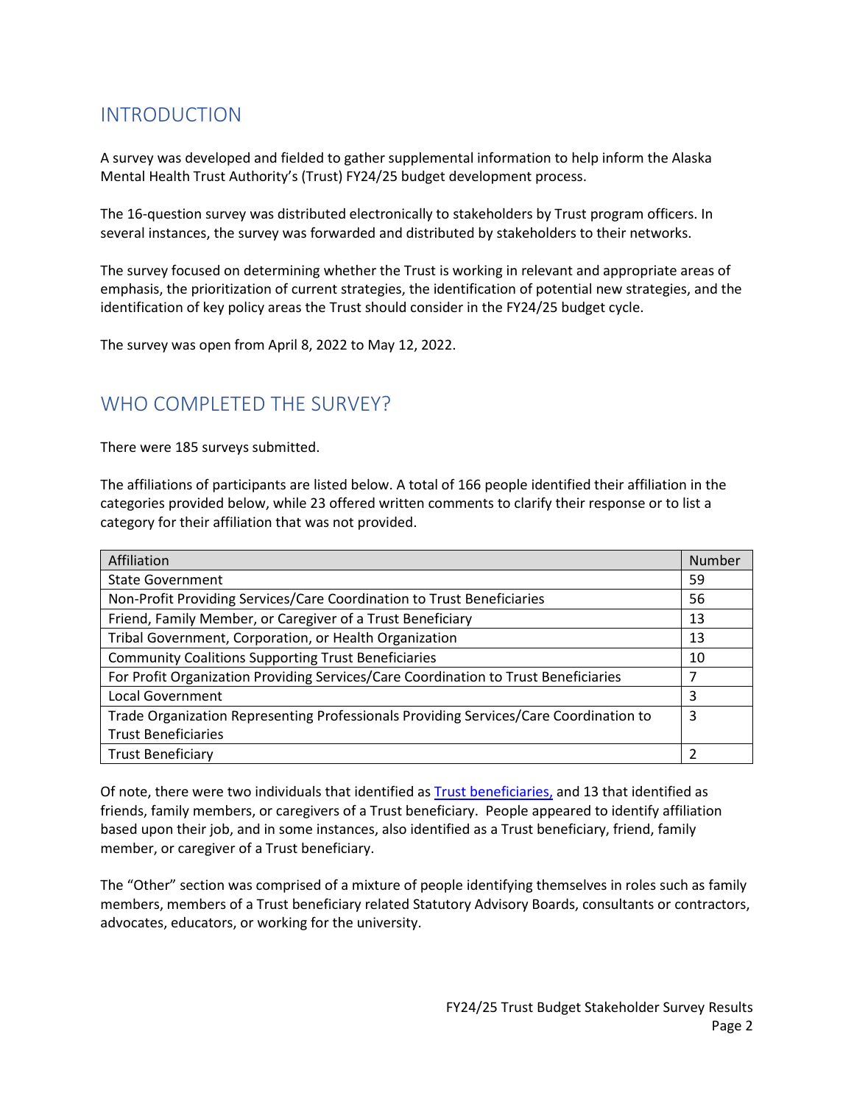# <span id="page-1-0"></span>INTRODUCTION

A survey was developed and fielded to gather supplemental information to help inform the Alaska Mental Health Trust Authority's (Trust) FY24/25 budget development process.

The 16-question survey was distributed electronically to stakeholders by Trust program officers. In several instances, the survey was forwarded and distributed by stakeholders to their networks.

The survey focused on determining whether the Trust is working in relevant and appropriate areas of emphasis, the prioritization of current strategies, the identification of potential new strategies, and the identification of key policy areas the Trust should consider in the FY24/25 budget cycle.

The survey was open from April 8, 2022 to May 12, 2022.

## <span id="page-1-1"></span>WHO COMPLETED THE SURVEY?

There were 185 surveys submitted.

The affiliations of participants are listed below. A total of 166 people identified their affiliation in the categories provided below, while 23 offered written comments to clarify their response or to list a category for their affiliation that was not provided.

| Affiliation                                                                           | Number |
|---------------------------------------------------------------------------------------|--------|
| <b>State Government</b>                                                               | 59     |
| Non-Profit Providing Services/Care Coordination to Trust Beneficiaries                | 56     |
| Friend, Family Member, or Caregiver of a Trust Beneficiary                            | 13     |
| Tribal Government, Corporation, or Health Organization                                | 13     |
| <b>Community Coalitions Supporting Trust Beneficiaries</b>                            | 10     |
| For Profit Organization Providing Services/Care Coordination to Trust Beneficiaries   | 7      |
| Local Government                                                                      | 3      |
| Trade Organization Representing Professionals Providing Services/Care Coordination to | 3      |
| <b>Trust Beneficiaries</b>                                                            |        |
| <b>Trust Beneficiary</b>                                                              |        |

Of note, there were two individuals that identified a[s Trust beneficiaries,](https://alaskamentalhealthtrust.org/beneficiaries/who-they-are/) and 13 that identified as friends, family members, or caregivers of a Trust beneficiary. People appeared to identify affiliation based upon their job, and in some instances, also identified as a Trust beneficiary, friend, family member, or caregiver of a Trust beneficiary.

The "Other" section was comprised of a mixture of people identifying themselves in roles such as family members, members of a Trust beneficiary related Statutory Advisory Boards, consultants or contractors, advocates, educators, or working for the university.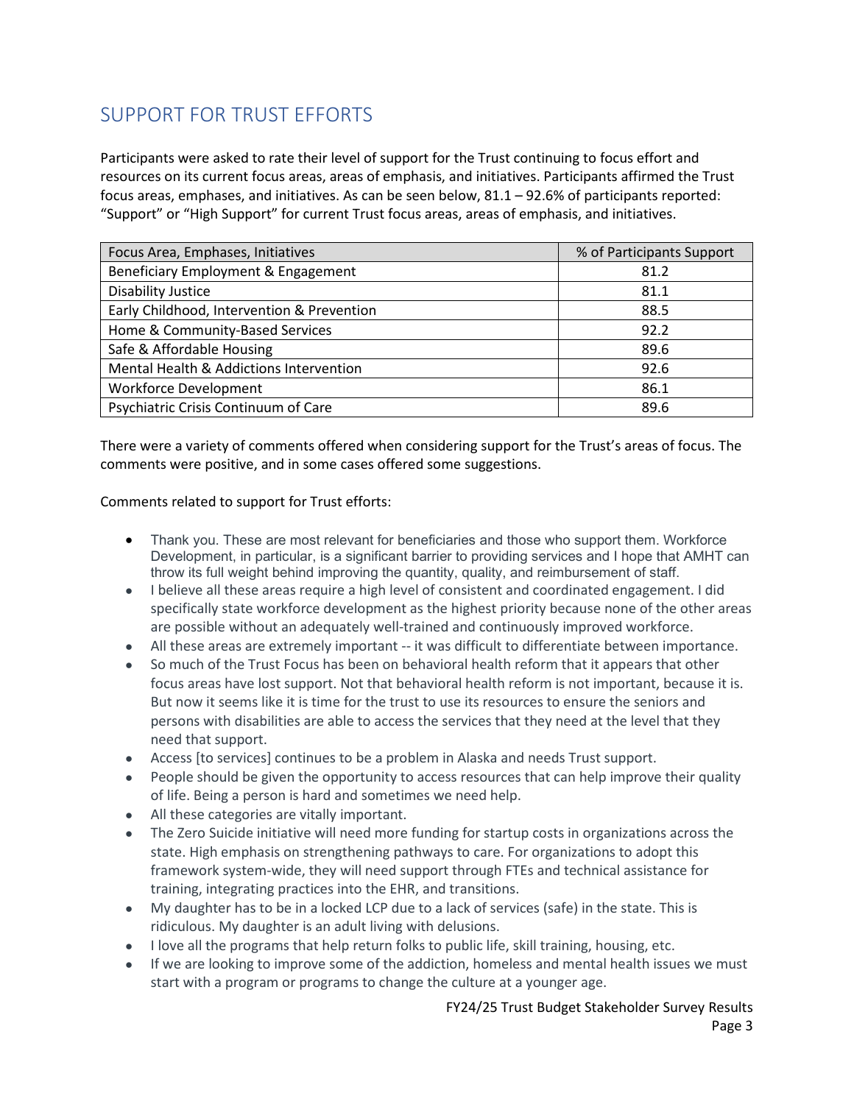# <span id="page-2-0"></span>SUPPORT FOR TRUST EFFORTS

Participants were asked to rate their level of support for the Trust continuing to focus effort and resources on its current focus areas, areas of emphasis, and initiatives. Participants affirmed the Trust focus areas, emphases, and initiatives. As can be seen below, 81.1 – 92.6% of participants reported: "Support" or "High Support" for current Trust focus areas, areas of emphasis, and initiatives.

| Focus Area, Emphases, Initiatives          | % of Participants Support |
|--------------------------------------------|---------------------------|
| Beneficiary Employment & Engagement        | 81.2                      |
| <b>Disability Justice</b>                  | 81.1                      |
| Early Childhood, Intervention & Prevention | 88.5                      |
| Home & Community-Based Services            | 92.2                      |
| Safe & Affordable Housing                  | 89.6                      |
| Mental Health & Addictions Intervention    | 92.6                      |
| <b>Workforce Development</b>               | 86.1                      |
| Psychiatric Crisis Continuum of Care       | 89.6                      |

There were a variety of comments offered when considering support for the Trust's areas of focus. The comments were positive, and in some cases offered some suggestions.

Comments related to support for Trust efforts:

- Thank you. These are most relevant for beneficiaries and those who support them. Workforce Development, in particular, is a significant barrier to providing services and I hope that AMHT can throw its full weight behind improving the quantity, quality, and reimbursement of staff.
- I believe all these areas require a high level of consistent and coordinated engagement. I did specifically state workforce development as the highest priority because none of the other areas are possible without an adequately well-trained and continuously improved workforce.
- All these areas are extremely important -- it was difficult to differentiate between importance.
- So much of the Trust Focus has been on behavioral health reform that it appears that other focus areas have lost support. Not that behavioral health reform is not important, because it is. But now it seems like it is time for the trust to use its resources to ensure the seniors and persons with disabilities are able to access the services that they need at the level that they need that support.
- Access [to services] continues to be a problem in Alaska and needs Trust support.
- People should be given the opportunity to access resources that can help improve their quality of life. Being a person is hard and sometimes we need help.
- All these categories are vitally important.
- The Zero Suicide initiative will need more funding for startup costs in organizations across the state. High emphasis on strengthening pathways to care. For organizations to adopt this framework system-wide, they will need support through FTEs and technical assistance for training, integrating practices into the EHR, and transitions.
- My daughter has to be in a locked LCP due to a lack of services (safe) in the state. This is ridiculous. My daughter is an adult living with delusions.
- I love all the programs that help return folks to public life, skill training, housing, etc.
- If we are looking to improve some of the addiction, homeless and mental health issues we must start with a program or programs to change the culture at a younger age.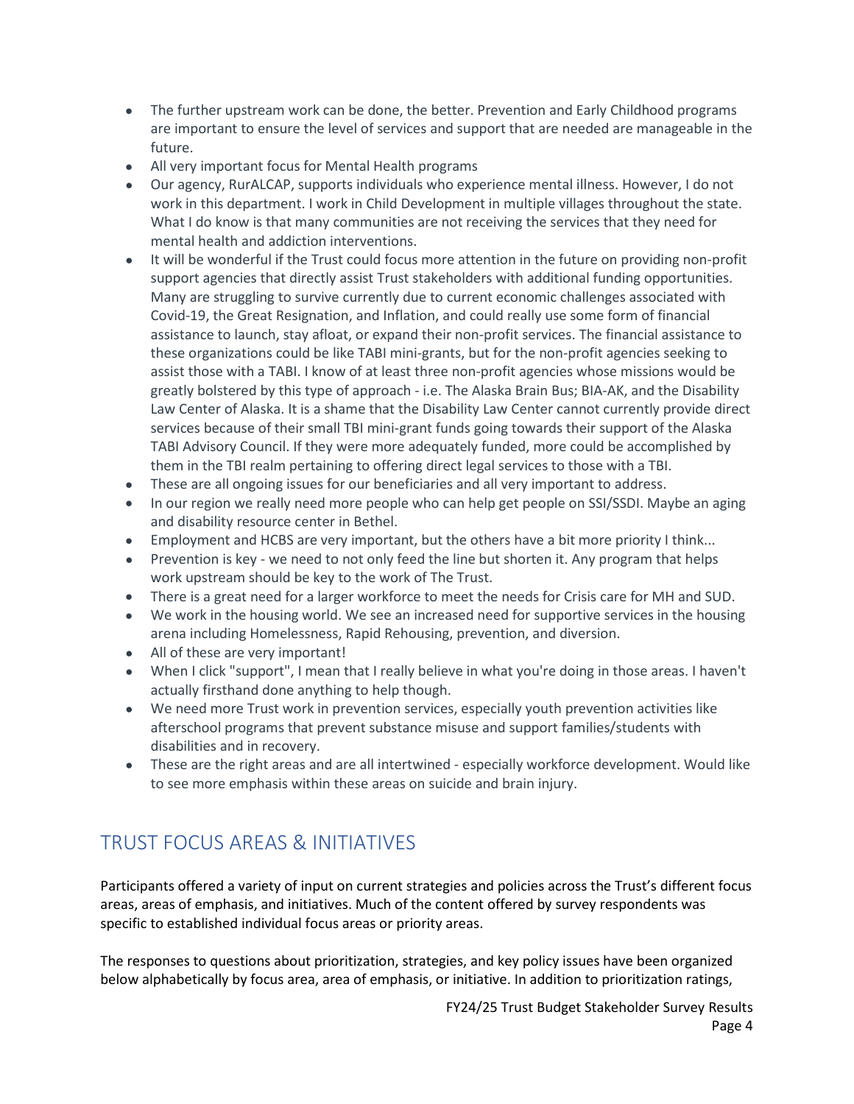- The further upstream work can be done, the better. Prevention and Early Childhood programs are important to ensure the level of services and support that are needed are manageable in the future.
- All very important focus for Mental Health programs
- Our agency, RurALCAP, supports individuals who experience mental illness. However, I do not work in this department. I work in Child Development in multiple villages throughout the state. What I do know is that many communities are not receiving the services that they need for mental health and addiction interventions.
- It will be wonderful if the Trust could focus more attention in the future on providing non-profit support agencies that directly assist Trust stakeholders with additional funding opportunities. Many are struggling to survive currently due to current economic challenges associated with Covid-19, the Great Resignation, and Inflation, and could really use some form of financial assistance to launch, stay afloat, or expand their non-profit services. The financial assistance to these organizations could be like TABI mini-grants, but for the non-profit agencies seeking to assist those with a TABI. I know of at least three non-profit agencies whose missions would be greatly bolstered by this type of approach - i.e. The Alaska Brain Bus; BIA-AK, and the Disability Law Center of Alaska. It is a shame that the Disability Law Center cannot currently provide direct services because of their small TBI mini-grant funds going towards their support of the Alaska TABI Advisory Council. If they were more adequately funded, more could be accomplished by them in the TBI realm pertaining to offering direct legal services to those with a TBI.
- These are all ongoing issues for our beneficiaries and all very important to address.
- In our region we really need more people who can help get people on SSI/SSDI. Maybe an aging and disability resource center in Bethel.
- Employment and HCBS are very important, but the others have a bit more priority I think...
- Prevention is key we need to not only feed the line but shorten it. Any program that helps work upstream should be key to the work of The Trust.
- There is a great need for a larger workforce to meet the needs for Crisis care for MH and SUD.
- We work in the housing world. We see an increased need for supportive services in the housing arena including Homelessness, Rapid Rehousing, prevention, and diversion.
- All of these are very important!
- When I click "support", I mean that I really believe in what you're doing in those areas. I haven't actually firsthand done anything to help though.
- We need more Trust work in prevention services, especially youth prevention activities like afterschool programs that prevent substance misuse and support families/students with disabilities and in recovery.
- These are the right areas and are all intertwined especially workforce development. Would like to see more emphasis within these areas on suicide and brain injury.

# <span id="page-3-0"></span>TRUST FOCUS AREAS & INITIATIVES

Participants offered a variety of input on current strategies and policies across the Trust's different focus areas, areas of emphasis, and initiatives. Much of the content offered by survey respondents was specific to established individual focus areas or priority areas.

The responses to questions about prioritization, strategies, and key policy issues have been organized below alphabetically by focus area, area of emphasis, or initiative. In addition to prioritization ratings,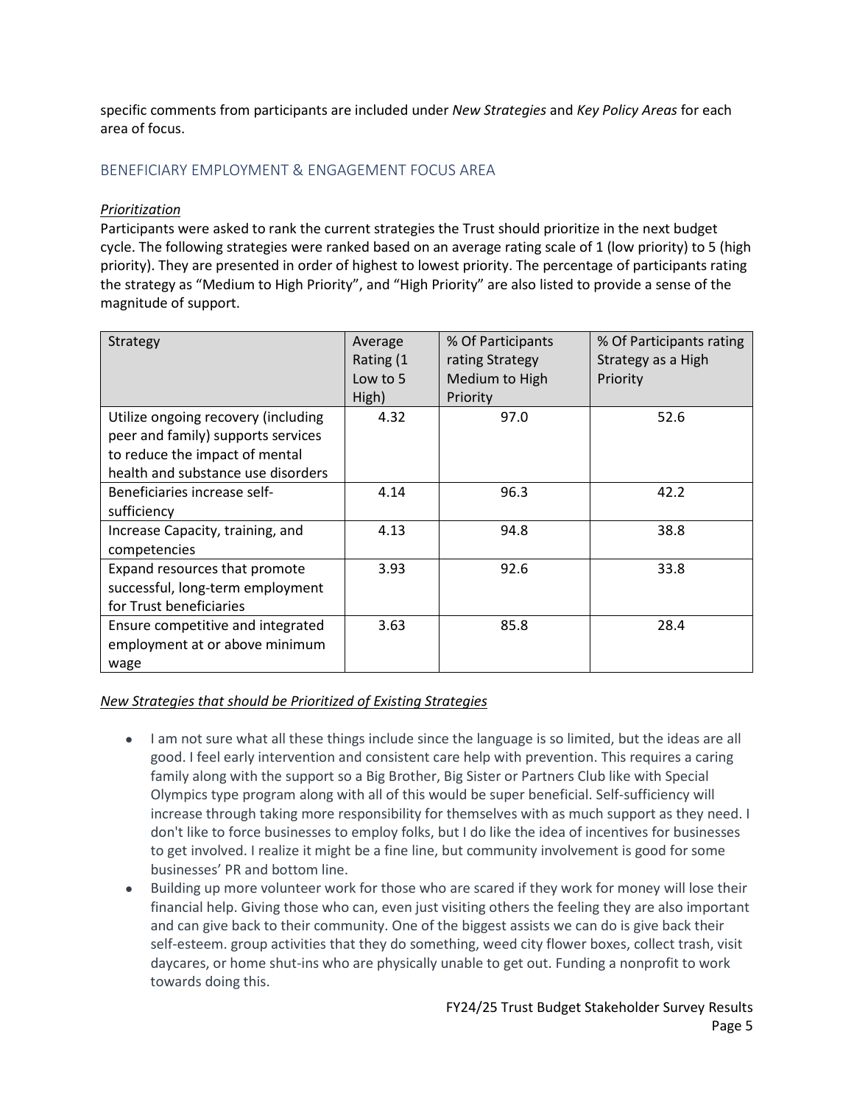specific comments from participants are included under *New Strategies* and *Key Policy Areas* for each area of focus.

## <span id="page-4-0"></span>BENEFICIARY EMPLOYMENT & ENGAGEMENT FOCUS AREA

#### *Prioritization*

Participants were asked to rank the current strategies the Trust should prioritize in the next budget cycle. The following strategies were ranked based on an average rating scale of 1 (low priority) to 5 (high priority). They are presented in order of highest to lowest priority. The percentage of participants rating the strategy as "Medium to High Priority", and "High Priority" are also listed to provide a sense of the magnitude of support.

| Strategy                            | Average<br>Rating (1 | % Of Participants<br>rating Strategy | % Of Participants rating<br>Strategy as a High |
|-------------------------------------|----------------------|--------------------------------------|------------------------------------------------|
|                                     | Low to 5             | Medium to High                       | Priority                                       |
|                                     | High)                | Priority                             |                                                |
| Utilize ongoing recovery (including | 4.32                 | 97.0                                 | 52.6                                           |
| peer and family) supports services  |                      |                                      |                                                |
| to reduce the impact of mental      |                      |                                      |                                                |
| health and substance use disorders  |                      |                                      |                                                |
| Beneficiaries increase self-        | 4.14                 | 96.3                                 | 42.2                                           |
| sufficiency                         |                      |                                      |                                                |
| Increase Capacity, training, and    | 4.13                 | 94.8                                 | 38.8                                           |
| competencies                        |                      |                                      |                                                |
| Expand resources that promote       | 3.93                 | 92.6                                 | 33.8                                           |
| successful, long-term employment    |                      |                                      |                                                |
| for Trust beneficiaries             |                      |                                      |                                                |
| Ensure competitive and integrated   | 3.63                 | 85.8                                 | 28.4                                           |
| employment at or above minimum      |                      |                                      |                                                |
| wage                                |                      |                                      |                                                |

- I am not sure what all these things include since the language is so limited, but the ideas are all good. I feel early intervention and consistent care help with prevention. This requires a caring family along with the support so a Big Brother, Big Sister or Partners Club like with Special Olympics type program along with all of this would be super beneficial. Self-sufficiency will increase through taking more responsibility for themselves with as much support as they need. I don't like to force businesses to employ folks, but I do like the idea of incentives for businesses to get involved. I realize it might be a fine line, but community involvement is good for some businesses' PR and bottom line.
- Building up more volunteer work for those who are scared if they work for money will lose their financial help. Giving those who can, even just visiting others the feeling they are also important and can give back to their community. One of the biggest assists we can do is give back their self-esteem. group activities that they do something, weed city flower boxes, collect trash, visit daycares, or home shut-ins who are physically unable to get out. Funding a nonprofit to work towards doing this.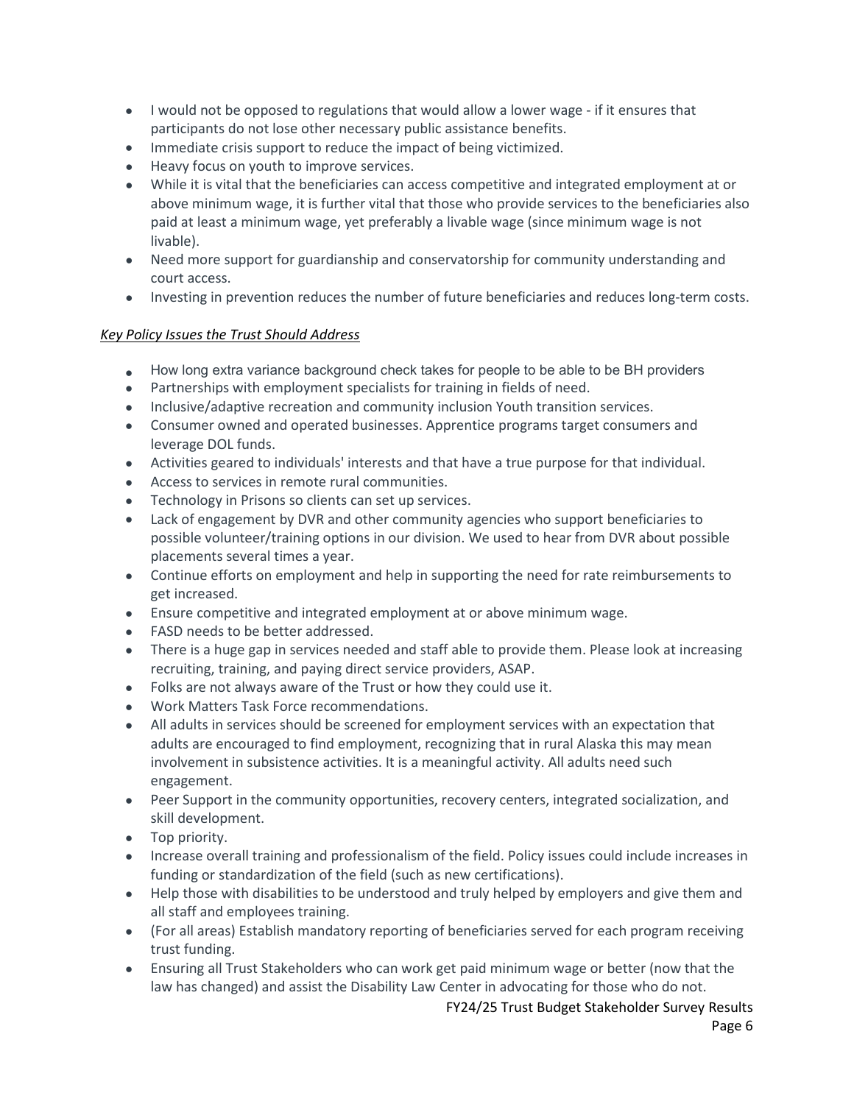- I would not be opposed to regulations that would allow a lower wage if it ensures that participants do not lose other necessary public assistance benefits.
- Immediate crisis support to reduce the impact of being victimized.
- Heavy focus on youth to improve services.
- While it is vital that the beneficiaries can access competitive and integrated employment at or above minimum wage, it is further vital that those who provide services to the beneficiaries also paid at least a minimum wage, yet preferably a livable wage (since minimum wage is not livable).
- Need more support for guardianship and conservatorship for community understanding and court access.
- Investing in prevention reduces the number of future beneficiaries and reduces long-term costs.

- How long extra variance background check takes for people to be able to be BH providers
- Partnerships with employment specialists for training in fields of need.
- Inclusive/adaptive recreation and community inclusion Youth transition services.
- Consumer owned and operated businesses. Apprentice programs target consumers and leverage DOL funds.
- Activities geared to individuals' interests and that have a true purpose for that individual.
- Access to services in remote rural communities.
- Technology in Prisons so clients can set up services.
- Lack of engagement by DVR and other community agencies who support beneficiaries to possible volunteer/training options in our division. We used to hear from DVR about possible placements several times a year.
- Continue efforts on employment and help in supporting the need for rate reimbursements to get increased.
- Ensure competitive and integrated employment at or above minimum wage.
- FASD needs to be better addressed.
- There is a huge gap in services needed and staff able to provide them. Please look at increasing recruiting, training, and paying direct service providers, ASAP.
- Folks are not always aware of the Trust or how they could use it.
- Work Matters Task Force recommendations.
- All adults in services should be screened for employment services with an expectation that adults are encouraged to find employment, recognizing that in rural Alaska this may mean involvement in subsistence activities. It is a meaningful activity. All adults need such engagement.
- Peer Support in the community opportunities, recovery centers, integrated socialization, and skill development.
- Top priority.
- Increase overall training and professionalism of the field. Policy issues could include increases in funding or standardization of the field (such as new certifications).
- Help those with disabilities to be understood and truly helped by employers and give them and all staff and employees training.
- (For all areas) Establish mandatory reporting of beneficiaries served for each program receiving trust funding.
- Ensuring all Trust Stakeholders who can work get paid minimum wage or better (now that the law has changed) and assist the Disability Law Center in advocating for those who do not.

FY24/25 Trust Budget Stakeholder Survey Results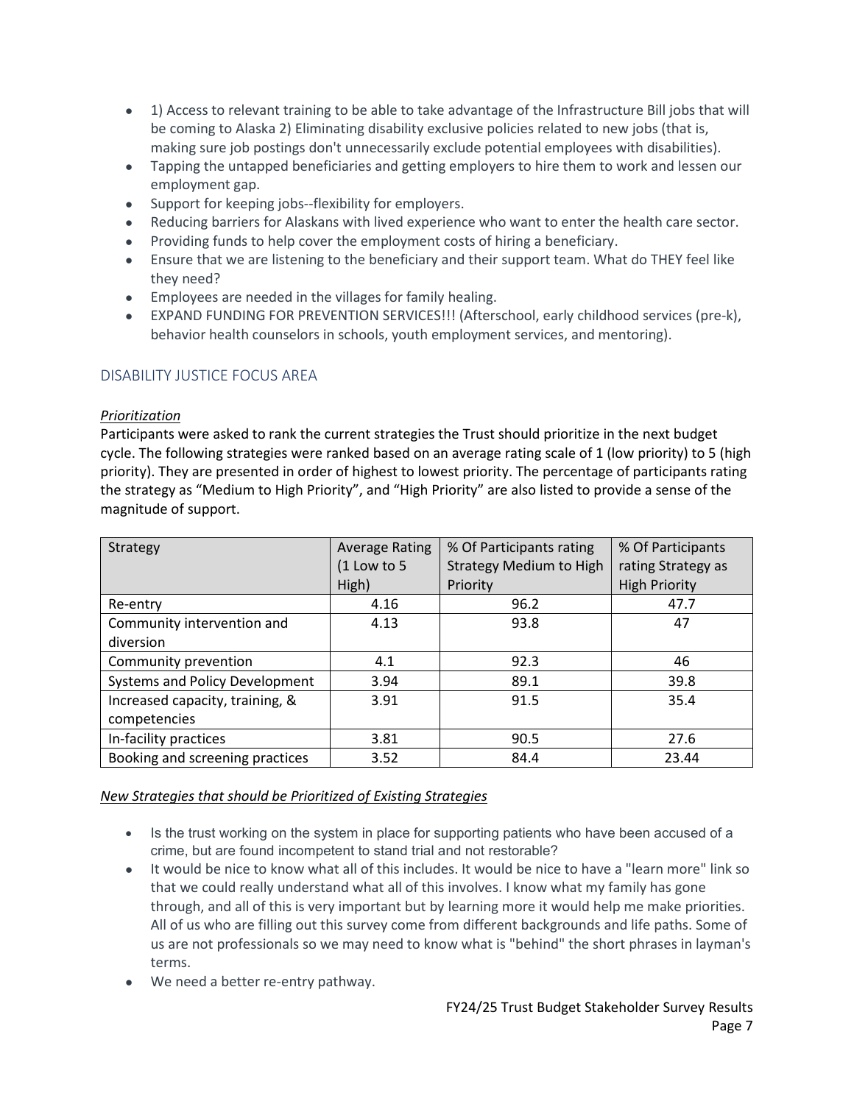- 1) Access to relevant training to be able to take advantage of the Infrastructure Bill jobs that will be coming to Alaska 2) Eliminating disability exclusive policies related to new jobs (that is, making sure job postings don't unnecessarily exclude potential employees with disabilities).
- Tapping the untapped beneficiaries and getting employers to hire them to work and lessen our employment gap.
- Support for keeping jobs--flexibility for employers.
- Reducing barriers for Alaskans with lived experience who want to enter the health care sector.
- Providing funds to help cover the employment costs of hiring a beneficiary.
- Ensure that we are listening to the beneficiary and their support team. What do THEY feel like they need?
- Employees are needed in the villages for family healing.
- EXPAND FUNDING FOR PREVENTION SERVICES!!! (Afterschool, early childhood services (pre-k), behavior health counselors in schools, youth employment services, and mentoring).

## <span id="page-6-0"></span>DISABILITY JUSTICE FOCUS AREA

#### *Prioritization*

Participants were asked to rank the current strategies the Trust should prioritize in the next budget cycle. The following strategies were ranked based on an average rating scale of 1 (low priority) to 5 (high priority). They are presented in order of highest to lowest priority. The percentage of participants rating the strategy as "Medium to High Priority", and "High Priority" are also listed to provide a sense of the magnitude of support.

| Strategy                        | <b>Average Rating</b> | % Of Participants rating       | % Of Participants    |
|---------------------------------|-----------------------|--------------------------------|----------------------|
|                                 | $(1$ Low to 5         | <b>Strategy Medium to High</b> | rating Strategy as   |
|                                 | High)                 | Priority                       | <b>High Priority</b> |
| Re-entry                        | 4.16                  | 96.2                           | 47.7                 |
| Community intervention and      | 4.13                  | 93.8                           | 47                   |
| diversion                       |                       |                                |                      |
| Community prevention            | 4.1                   | 92.3                           | 46                   |
| Systems and Policy Development  | 3.94                  | 89.1                           | 39.8                 |
| Increased capacity, training, & | 3.91                  | 91.5                           | 35.4                 |
| competencies                    |                       |                                |                      |
| In-facility practices           | 3.81                  | 90.5                           | 27.6                 |
| Booking and screening practices | 3.52                  | 84.4                           | 23.44                |

- Is the trust working on the system in place for supporting patients who have been accused of a crime, but are found incompetent to stand trial and not restorable?
- It would be nice to know what all of this includes. It would be nice to have a "learn more" link so that we could really understand what all of this involves. I know what my family has gone through, and all of this is very important but by learning more it would help me make priorities. All of us who are filling out this survey come from different backgrounds and life paths. Some of us are not professionals so we may need to know what is "behind" the short phrases in layman's terms.
- We need a better re-entry pathway.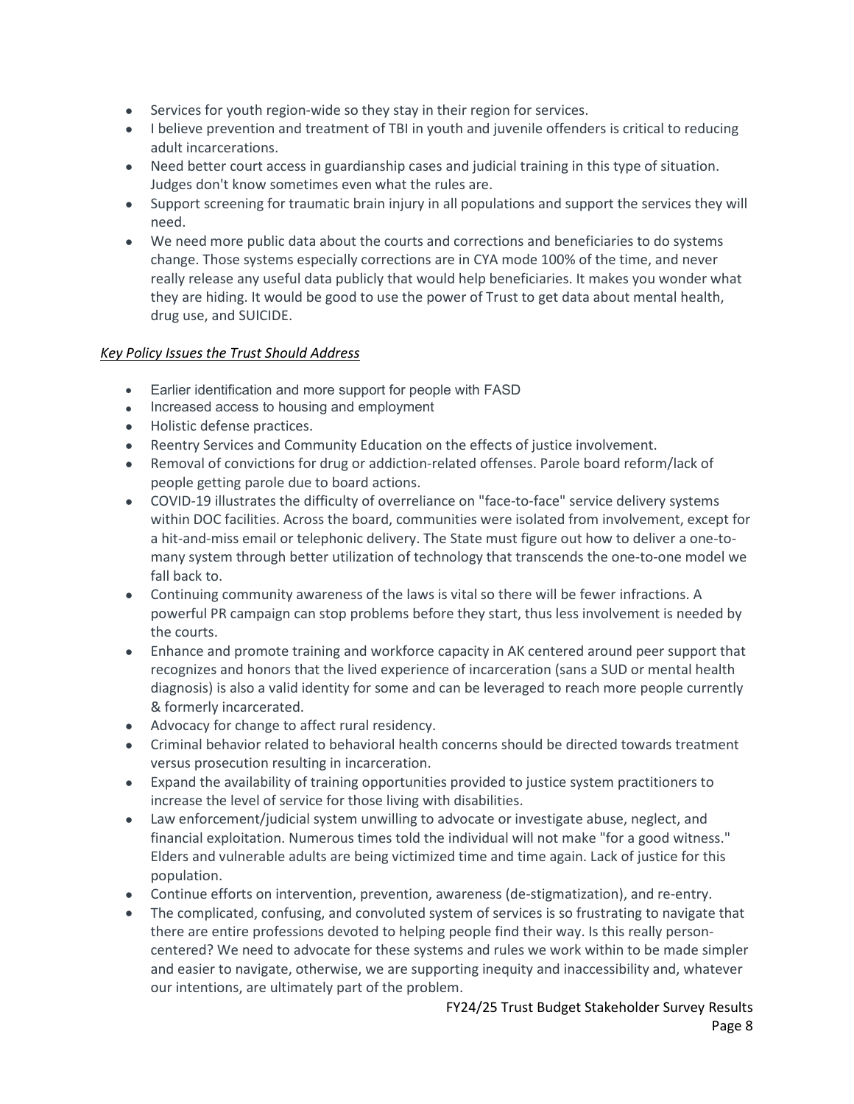- Services for youth region-wide so they stay in their region for services.
- I believe prevention and treatment of TBI in youth and juvenile offenders is critical to reducing adult incarcerations.
- Need better court access in guardianship cases and judicial training in this type of situation. Judges don't know sometimes even what the rules are.
- Support screening for traumatic brain injury in all populations and support the services they will need.
- We need more public data about the courts and corrections and beneficiaries to do systems change. Those systems especially corrections are in CYA mode 100% of the time, and never really release any useful data publicly that would help beneficiaries. It makes you wonder what they are hiding. It would be good to use the power of Trust to get data about mental health, drug use, and SUICIDE.

- Earlier identification and more support for people with FASD
- Increased access to housing and employment
- Holistic defense practices.
- Reentry Services and Community Education on the effects of justice involvement.
- Removal of convictions for drug or addiction-related offenses. Parole board reform/lack of people getting parole due to board actions.
- COVID-19 illustrates the difficulty of overreliance on "face-to-face" service delivery systems within DOC facilities. Across the board, communities were isolated from involvement, except for a hit-and-miss email or telephonic delivery. The State must figure out how to deliver a one-tomany system through better utilization of technology that transcends the one-to-one model we fall back to.
- Continuing community awareness of the laws is vital so there will be fewer infractions. A powerful PR campaign can stop problems before they start, thus less involvement is needed by the courts.
- Enhance and promote training and workforce capacity in AK centered around peer support that recognizes and honors that the lived experience of incarceration (sans a SUD or mental health diagnosis) is also a valid identity for some and can be leveraged to reach more people currently & formerly incarcerated.
- Advocacy for change to affect rural residency.
- Criminal behavior related to behavioral health concerns should be directed towards treatment versus prosecution resulting in incarceration.
- Expand the availability of training opportunities provided to justice system practitioners to increase the level of service for those living with disabilities.
- Law enforcement/judicial system unwilling to advocate or investigate abuse, neglect, and financial exploitation. Numerous times told the individual will not make "for a good witness." Elders and vulnerable adults are being victimized time and time again. Lack of justice for this population.
- Continue efforts on intervention, prevention, awareness (de-stigmatization), and re-entry.
- The complicated, confusing, and convoluted system of services is so frustrating to navigate that there are entire professions devoted to helping people find their way. Is this really personcentered? We need to advocate for these systems and rules we work within to be made simpler and easier to navigate, otherwise, we are supporting inequity and inaccessibility and, whatever our intentions, are ultimately part of the problem.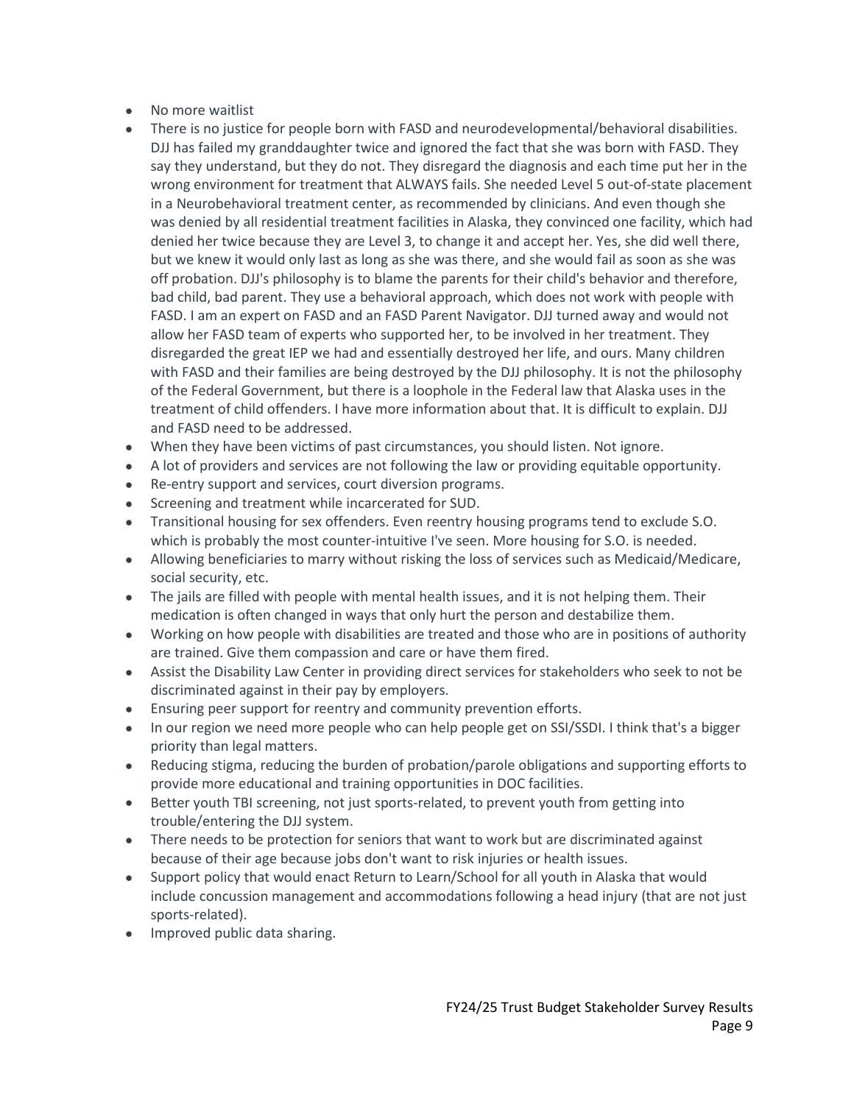- No more waitlist
- There is no justice for people born with FASD and neurodevelopmental/behavioral disabilities. DJJ has failed my granddaughter twice and ignored the fact that she was born with FASD. They say they understand, but they do not. They disregard the diagnosis and each time put her in the wrong environment for treatment that ALWAYS fails. She needed Level 5 out-of-state placement in a Neurobehavioral treatment center, as recommended by clinicians. And even though she was denied by all residential treatment facilities in Alaska, they convinced one facility, which had denied her twice because they are Level 3, to change it and accept her. Yes, she did well there, but we knew it would only last as long as she was there, and she would fail as soon as she was off probation. DJJ's philosophy is to blame the parents for their child's behavior and therefore, bad child, bad parent. They use a behavioral approach, which does not work with people with FASD. I am an expert on FASD and an FASD Parent Navigator. DJJ turned away and would not allow her FASD team of experts who supported her, to be involved in her treatment. They disregarded the great IEP we had and essentially destroyed her life, and ours. Many children with FASD and their families are being destroyed by the DJJ philosophy. It is not the philosophy of the Federal Government, but there is a loophole in the Federal law that Alaska uses in the treatment of child offenders. I have more information about that. It is difficult to explain. DJJ and FASD need to be addressed.
- When they have been victims of past circumstances, you should listen. Not ignore.
- A lot of providers and services are not following the law or providing equitable opportunity.
- Re-entry support and services, court diversion programs.
- Screening and treatment while incarcerated for SUD.
- Transitional housing for sex offenders. Even reentry housing programs tend to exclude S.O. which is probably the most counter-intuitive I've seen. More housing for S.O. is needed.
- Allowing beneficiaries to marry without risking the loss of services such as Medicaid/Medicare, social security, etc.
- The jails are filled with people with mental health issues, and it is not helping them. Their medication is often changed in ways that only hurt the person and destabilize them.
- Working on how people with disabilities are treated and those who are in positions of authority are trained. Give them compassion and care or have them fired.
- Assist the Disability Law Center in providing direct services for stakeholders who seek to not be discriminated against in their pay by employers.
- Ensuring peer support for reentry and community prevention efforts.
- In our region we need more people who can help people get on SSI/SSDI. I think that's a bigger priority than legal matters.
- Reducing stigma, reducing the burden of probation/parole obligations and supporting efforts to provide more educational and training opportunities in DOC facilities.
- Better youth TBI screening, not just sports-related, to prevent youth from getting into trouble/entering the DJJ system.
- There needs to be protection for seniors that want to work but are discriminated against because of their age because jobs don't want to risk injuries or health issues.
- Support policy that would enact Return to Learn/School for all youth in Alaska that would include concussion management and accommodations following a head injury (that are not just sports-related).
- Improved public data sharing.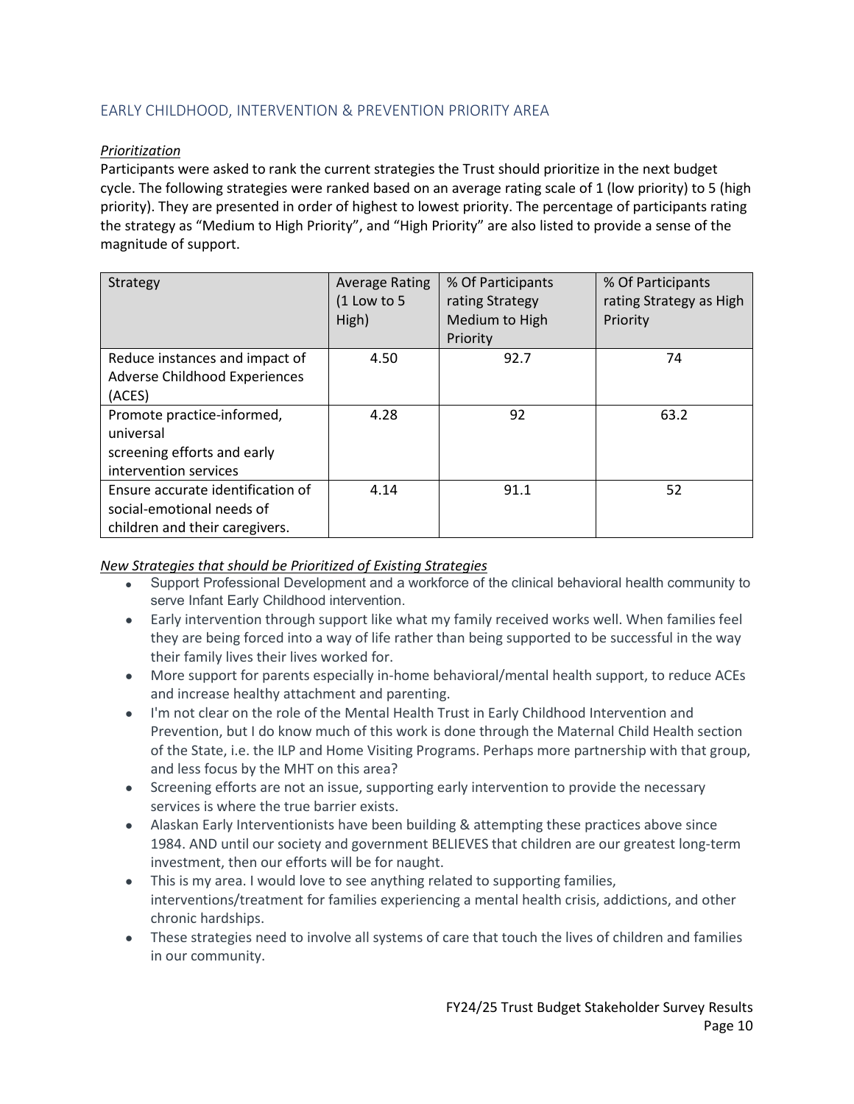## <span id="page-9-0"></span>EARLY CHILDHOOD, INTERVENTION & PREVENTION PRIORITY AREA

## *Prioritization*

Participants were asked to rank the current strategies the Trust should prioritize in the next budget cycle. The following strategies were ranked based on an average rating scale of 1 (low priority) to 5 (high priority). They are presented in order of highest to lowest priority. The percentage of participants rating the strategy as "Medium to High Priority", and "High Priority" are also listed to provide a sense of the magnitude of support.

| Strategy                          | <b>Average Rating</b><br>$(1$ Low to 5<br>High) | % Of Participants<br>rating Strategy<br>Medium to High<br>Priority | % Of Participants<br>rating Strategy as High<br>Priority |
|-----------------------------------|-------------------------------------------------|--------------------------------------------------------------------|----------------------------------------------------------|
| Reduce instances and impact of    | 4.50                                            | 92.7                                                               | 74                                                       |
| Adverse Childhood Experiences     |                                                 |                                                                    |                                                          |
| (ACES)                            |                                                 |                                                                    |                                                          |
| Promote practice-informed,        | 4.28                                            | 92                                                                 | 63.2                                                     |
| universal                         |                                                 |                                                                    |                                                          |
| screening efforts and early       |                                                 |                                                                    |                                                          |
| intervention services             |                                                 |                                                                    |                                                          |
| Ensure accurate identification of | 4.14                                            | 91.1                                                               | 52                                                       |
| social-emotional needs of         |                                                 |                                                                    |                                                          |
| children and their caregivers.    |                                                 |                                                                    |                                                          |

- Support Professional Development and a workforce of the clinical behavioral health community to serve Infant Early Childhood intervention.
- Early intervention through support like what my family received works well. When families feel they are being forced into a way of life rather than being supported to be successful in the way their family lives their lives worked for.
- More support for parents especially in-home behavioral/mental health support, to reduce ACEs and increase healthy attachment and parenting.
- I'm not clear on the role of the Mental Health Trust in Early Childhood Intervention and Prevention, but I do know much of this work is done through the Maternal Child Health section of the State, i.e. the ILP and Home Visiting Programs. Perhaps more partnership with that group, and less focus by the MHT on this area?
- Screening efforts are not an issue, supporting early intervention to provide the necessary services is where the true barrier exists.
- Alaskan Early Interventionists have been building & attempting these practices above since 1984. AND until our society and government BELIEVES that children are our greatest long-term investment, then our efforts will be for naught.
- This is my area. I would love to see anything related to supporting families, interventions/treatment for families experiencing a mental health crisis, addictions, and other chronic hardships.
- These strategies need to involve all systems of care that touch the lives of children and families in our community.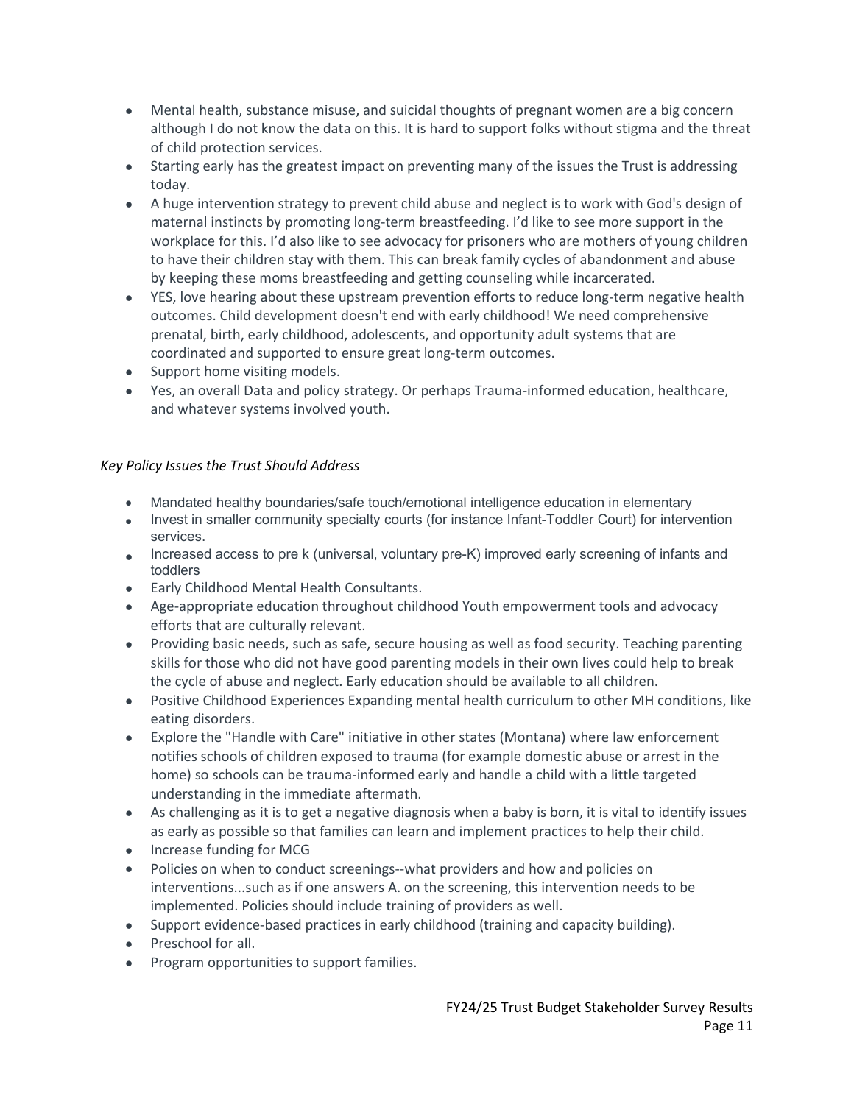- Mental health, substance misuse, and suicidal thoughts of pregnant women are a big concern although I do not know the data on this. It is hard to support folks without stigma and the threat of child protection services.
- Starting early has the greatest impact on preventing many of the issues the Trust is addressing today.
- A huge intervention strategy to prevent child abuse and neglect is to work with God's design of maternal instincts by promoting long-term breastfeeding. I'd like to see more support in the workplace for this. I'd also like to see advocacy for prisoners who are mothers of young children to have their children stay with them. This can break family cycles of abandonment and abuse by keeping these moms breastfeeding and getting counseling while incarcerated.
- YES, love hearing about these upstream prevention efforts to reduce long-term negative health outcomes. Child development doesn't end with early childhood! We need comprehensive prenatal, birth, early childhood, adolescents, and opportunity adult systems that are coordinated and supported to ensure great long-term outcomes.
- Support home visiting models.
- Yes, an overall Data and policy strategy. Or perhaps Trauma-informed education, healthcare, and whatever systems involved youth.

- Mandated healthy boundaries/safe touch/emotional intelligence education in elementary
- Invest in smaller community specialty courts (for instance Infant-Toddler Court) for intervention services.
- Increased access to pre k (universal, voluntary pre-K) improved early screening of infants and toddlers
- Early Childhood Mental Health Consultants.
- Age-appropriate education throughout childhood Youth empowerment tools and advocacy efforts that are culturally relevant.
- Providing basic needs, such as safe, secure housing as well as food security. Teaching parenting skills for those who did not have good parenting models in their own lives could help to break the cycle of abuse and neglect. Early education should be available to all children.
- Positive Childhood Experiences Expanding mental health curriculum to other MH conditions, like eating disorders.
- Explore the "Handle with Care" initiative in other states (Montana) where law enforcement notifies schools of children exposed to trauma (for example domestic abuse or arrest in the home) so schools can be trauma-informed early and handle a child with a little targeted understanding in the immediate aftermath.
- As challenging as it is to get a negative diagnosis when a baby is born, it is vital to identify issues as early as possible so that families can learn and implement practices to help their child.
- Increase funding for MCG
- Policies on when to conduct screenings--what providers and how and policies on interventions...such as if one answers A. on the screening, this intervention needs to be implemented. Policies should include training of providers as well.
- Support evidence-based practices in early childhood (training and capacity building).
- Preschool for all.
- Program opportunities to support families.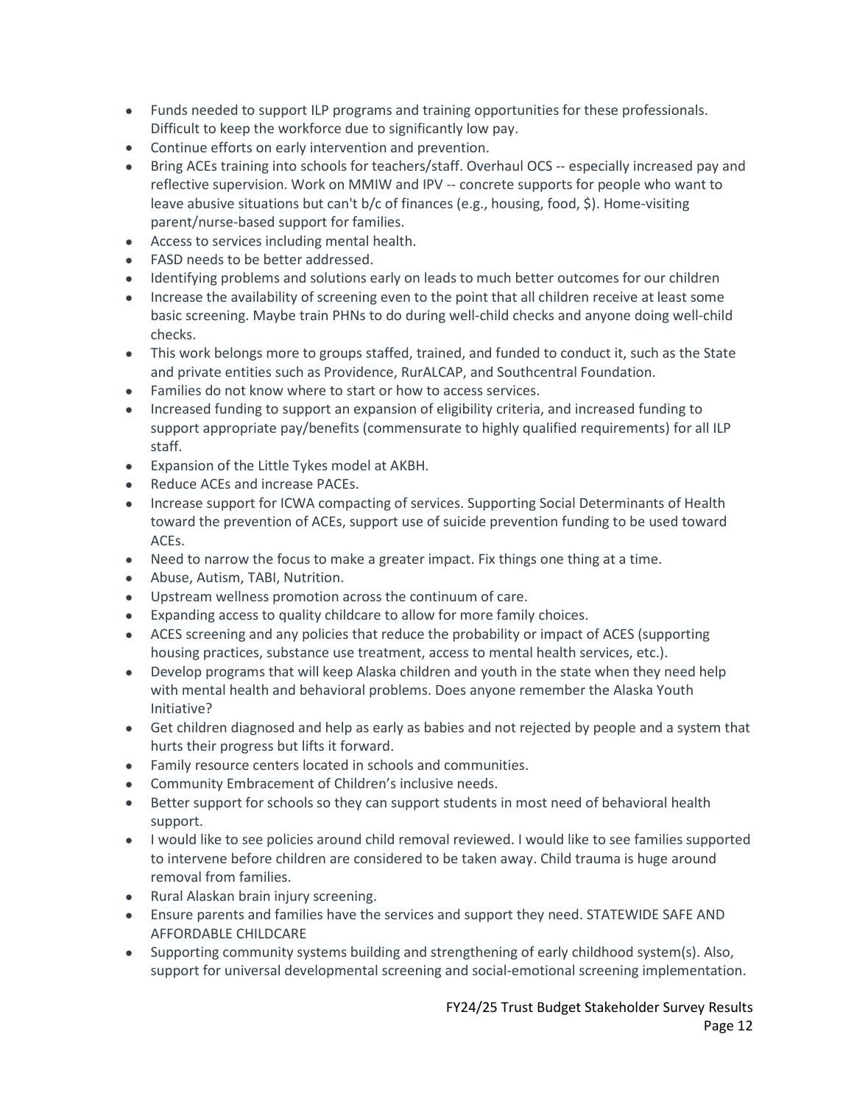- Funds needed to support ILP programs and training opportunities for these professionals. Difficult to keep the workforce due to significantly low pay.
- Continue efforts on early intervention and prevention.
- Bring ACEs training into schools for teachers/staff. Overhaul OCS -- especially increased pay and reflective supervision. Work on MMIW and IPV -- concrete supports for people who want to leave abusive situations but can't b/c of finances (e.g., housing, food, \$). Home-visiting parent/nurse-based support for families.
- Access to services including mental health.
- FASD needs to be better addressed.
- Identifying problems and solutions early on leads to much better outcomes for our children
- Increase the availability of screening even to the point that all children receive at least some basic screening. Maybe train PHNs to do during well-child checks and anyone doing well-child checks.
- This work belongs more to groups staffed, trained, and funded to conduct it, such as the State and private entities such as Providence, RurALCAP, and Southcentral Foundation.
- Families do not know where to start or how to access services.
- Increased funding to support an expansion of eligibility criteria, and increased funding to support appropriate pay/benefits (commensurate to highly qualified requirements) for all ILP staff.
- Expansion of the Little Tykes model at AKBH.
- Reduce ACEs and increase PACEs.
- Increase support for ICWA compacting of services. Supporting Social Determinants of Health toward the prevention of ACEs, support use of suicide prevention funding to be used toward ACEs.
- Need to narrow the focus to make a greater impact. Fix things one thing at a time.
- Abuse, Autism, TABI, Nutrition.
- Upstream wellness promotion across the continuum of care.
- Expanding access to quality childcare to allow for more family choices.
- ACES screening and any policies that reduce the probability or impact of ACES (supporting housing practices, substance use treatment, access to mental health services, etc.).
- Develop programs that will keep Alaska children and youth in the state when they need help with mental health and behavioral problems. Does anyone remember the Alaska Youth Initiative?
- Get children diagnosed and help as early as babies and not rejected by people and a system that hurts their progress but lifts it forward.
- Family resource centers located in schools and communities.
- Community Embracement of Children's inclusive needs.
- Better support for schools so they can support students in most need of behavioral health support.
- I would like to see policies around child removal reviewed. I would like to see families supported to intervene before children are considered to be taken away. Child trauma is huge around removal from families.
- Rural Alaskan brain injury screening.
- Ensure parents and families have the services and support they need. STATEWIDE SAFE AND AFFORDABLE CHILDCARE
- Supporting community systems building and strengthening of early childhood system(s). Also, support for universal developmental screening and social-emotional screening implementation.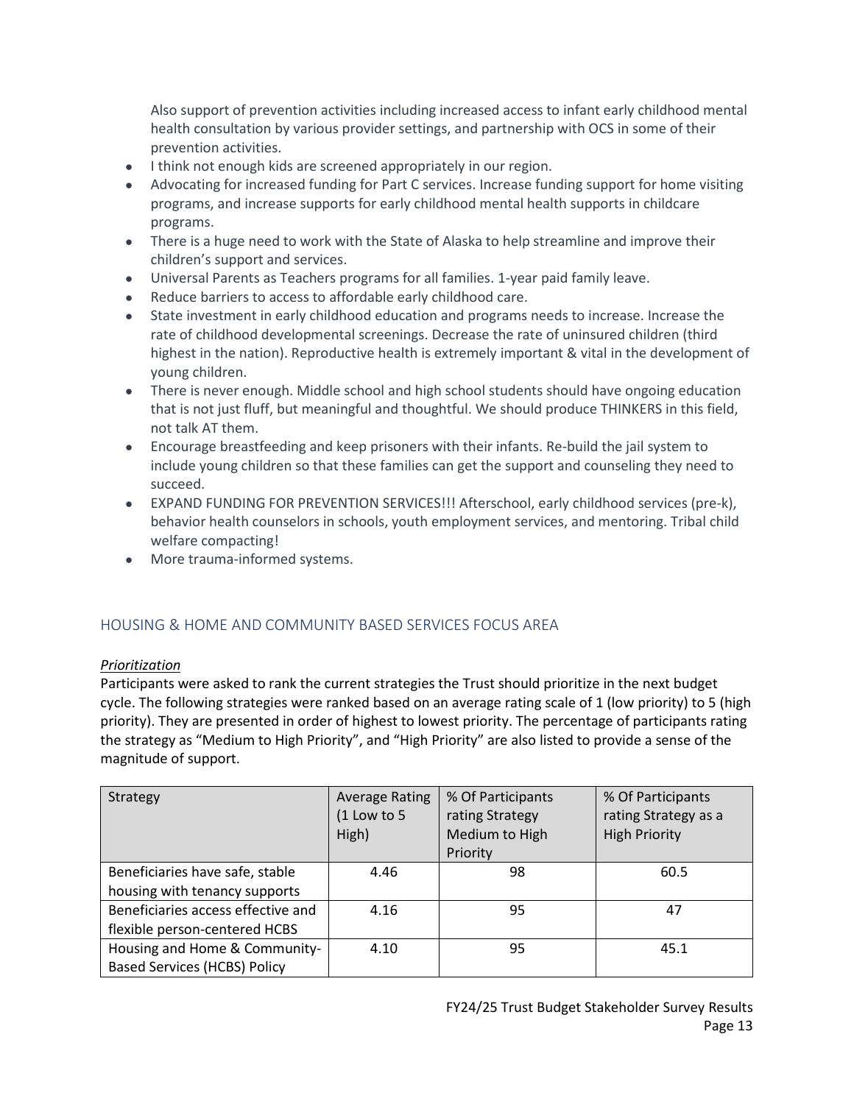Also support of prevention activities including increased access to infant early childhood mental health consultation by various provider settings, and partnership with OCS in some of their prevention activities.

- I think not enough kids are screened appropriately in our region.
- Advocating for increased funding for Part C services. Increase funding support for home visiting programs, and increase supports for early childhood mental health supports in childcare programs.
- There is a huge need to work with the State of Alaska to help streamline and improve their children's support and services.
- Universal Parents as Teachers programs for all families. 1-year paid family leave.
- Reduce barriers to access to affordable early childhood care.
- State investment in early childhood education and programs needs to increase. Increase the rate of childhood developmental screenings. Decrease the rate of uninsured children (third highest in the nation). Reproductive health is extremely important & vital in the development of young children.
- There is never enough. Middle school and high school students should have ongoing education that is not just fluff, but meaningful and thoughtful. We should produce THINKERS in this field, not talk AT them.
- Encourage breastfeeding and keep prisoners with their infants. Re-build the jail system to include young children so that these families can get the support and counseling they need to succeed.
- EXPAND FUNDING FOR PREVENTION SERVICES!!! Afterschool, early childhood services (pre-k), behavior health counselors in schools, youth employment services, and mentoring. Tribal child welfare compacting!
- More trauma-informed systems.

## <span id="page-12-0"></span>HOUSING & HOME AND COMMUNITY BASED SERVICES FOCUS AREA

## *Prioritization*

Participants were asked to rank the current strategies the Trust should prioritize in the next budget cycle. The following strategies were ranked based on an average rating scale of 1 (low priority) to 5 (high priority). They are presented in order of highest to lowest priority. The percentage of participants rating the strategy as "Medium to High Priority", and "High Priority" are also listed to provide a sense of the magnitude of support.

| Strategy                            | <b>Average Rating</b><br>$(1$ Low to 5<br>High) | % Of Participants<br>rating Strategy<br>Medium to High<br>Priority | % Of Participants<br>rating Strategy as a<br><b>High Priority</b> |
|-------------------------------------|-------------------------------------------------|--------------------------------------------------------------------|-------------------------------------------------------------------|
| Beneficiaries have safe, stable     | 4.46                                            | 98                                                                 | 60.5                                                              |
| housing with tenancy supports       |                                                 |                                                                    |                                                                   |
| Beneficiaries access effective and  | 4.16                                            | 95                                                                 | 47                                                                |
| flexible person-centered HCBS       |                                                 |                                                                    |                                                                   |
| Housing and Home & Community-       | 4.10                                            | 95                                                                 | 45.1                                                              |
| <b>Based Services (HCBS) Policy</b> |                                                 |                                                                    |                                                                   |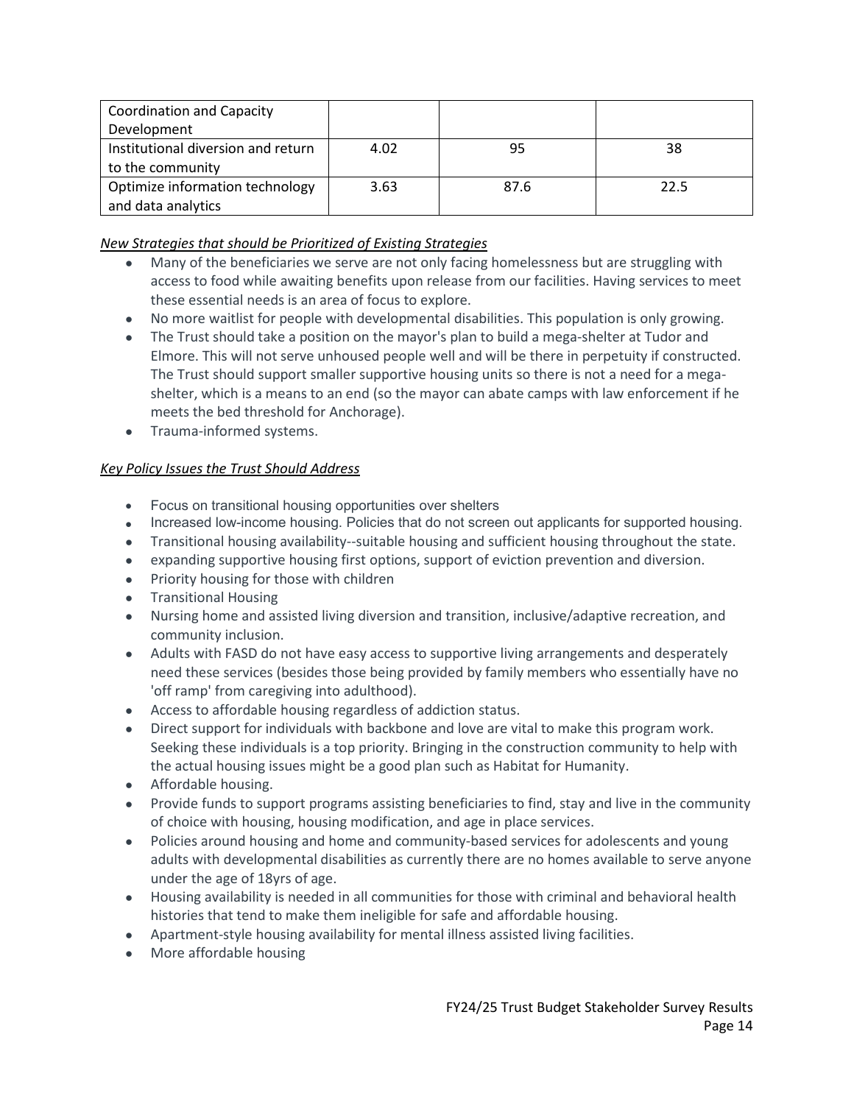| <b>Coordination and Capacity</b>   |      |      |      |
|------------------------------------|------|------|------|
| Development                        |      |      |      |
| Institutional diversion and return | 4.02 | 95   | 38   |
| to the community                   |      |      |      |
| Optimize information technology    | 3.63 | 87.6 | 22.5 |
| and data analytics                 |      |      |      |

## *New Strategies that should be Prioritized of Existing Strategies*

- Many of the beneficiaries we serve are not only facing homelessness but are struggling with access to food while awaiting benefits upon release from our facilities. Having services to meet these essential needs is an area of focus to explore.
- No more waitlist for people with developmental disabilities. This population is only growing.
- The Trust should take a position on the mayor's plan to build a mega-shelter at Tudor and Elmore. This will not serve unhoused people well and will be there in perpetuity if constructed. The Trust should support smaller supportive housing units so there is not a need for a megashelter, which is a means to an end (so the mayor can abate camps with law enforcement if he meets the bed threshold for Anchorage).
- Trauma-informed systems.

- Focus on transitional housing opportunities over shelters
- Increased low-income housing. Policies that do not screen out applicants for supported housing.
- Transitional housing availability--suitable housing and sufficient housing throughout the state.
- expanding supportive housing first options, support of eviction prevention and diversion.
- Priority housing for those with children
- Transitional Housing
- Nursing home and assisted living diversion and transition, inclusive/adaptive recreation, and community inclusion.
- Adults with FASD do not have easy access to supportive living arrangements and desperately need these services (besides those being provided by family members who essentially have no 'off ramp' from caregiving into adulthood).
- Access to affordable housing regardless of addiction status.
- Direct support for individuals with backbone and love are vital to make this program work. Seeking these individuals is a top priority. Bringing in the construction community to help with the actual housing issues might be a good plan such as Habitat for Humanity.
- Affordable housing.
- Provide funds to support programs assisting beneficiaries to find, stay and live in the community of choice with housing, housing modification, and age in place services.
- Policies around housing and home and community-based services for adolescents and young adults with developmental disabilities as currently there are no homes available to serve anyone under the age of 18yrs of age.
- Housing availability is needed in all communities for those with criminal and behavioral health histories that tend to make them ineligible for safe and affordable housing.
- Apartment-style housing availability for mental illness assisted living facilities.
- More affordable housing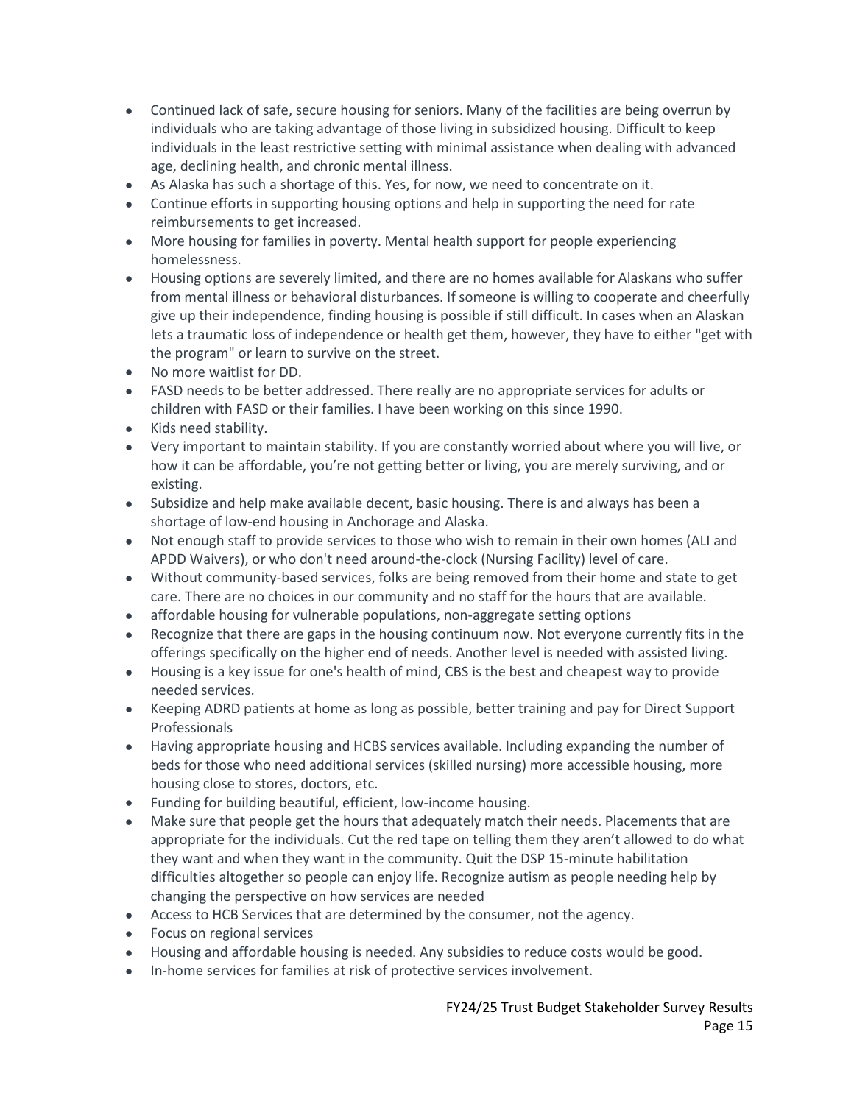- Continued lack of safe, secure housing for seniors. Many of the facilities are being overrun by individuals who are taking advantage of those living in subsidized housing. Difficult to keep individuals in the least restrictive setting with minimal assistance when dealing with advanced age, declining health, and chronic mental illness.
- As Alaska has such a shortage of this. Yes, for now, we need to concentrate on it.
- Continue efforts in supporting housing options and help in supporting the need for rate reimbursements to get increased.
- More housing for families in poverty. Mental health support for people experiencing homelessness.
- Housing options are severely limited, and there are no homes available for Alaskans who suffer from mental illness or behavioral disturbances. If someone is willing to cooperate and cheerfully give up their independence, finding housing is possible if still difficult. In cases when an Alaskan lets a traumatic loss of independence or health get them, however, they have to either "get with the program" or learn to survive on the street.
- No more waitlist for DD.
- FASD needs to be better addressed. There really are no appropriate services for adults or children with FASD or their families. I have been working on this since 1990.
- Kids need stability.
- Very important to maintain stability. If you are constantly worried about where you will live, or how it can be affordable, you're not getting better or living, you are merely surviving, and or existing.
- Subsidize and help make available decent, basic housing. There is and always has been a shortage of low-end housing in Anchorage and Alaska.
- Not enough staff to provide services to those who wish to remain in their own homes (ALI and APDD Waivers), or who don't need around-the-clock (Nursing Facility) level of care.
- Without community-based services, folks are being removed from their home and state to get care. There are no choices in our community and no staff for the hours that are available.
- affordable housing for vulnerable populations, non-aggregate setting options
- Recognize that there are gaps in the housing continuum now. Not everyone currently fits in the offerings specifically on the higher end of needs. Another level is needed with assisted living.
- Housing is a key issue for one's health of mind, CBS is the best and cheapest way to provide needed services.
- Keeping ADRD patients at home as long as possible, better training and pay for Direct Support Professionals
- Having appropriate housing and HCBS services available. Including expanding the number of beds for those who need additional services (skilled nursing) more accessible housing, more housing close to stores, doctors, etc.
- Funding for building beautiful, efficient, low-income housing.
- Make sure that people get the hours that adequately match their needs. Placements that are appropriate for the individuals. Cut the red tape on telling them they aren't allowed to do what they want and when they want in the community. Quit the DSP 15-minute habilitation difficulties altogether so people can enjoy life. Recognize autism as people needing help by changing the perspective on how services are needed
- Access to HCB Services that are determined by the consumer, not the agency.
- Focus on regional services
- Housing and affordable housing is needed. Any subsidies to reduce costs would be good.
- In-home services for families at risk of protective services involvement.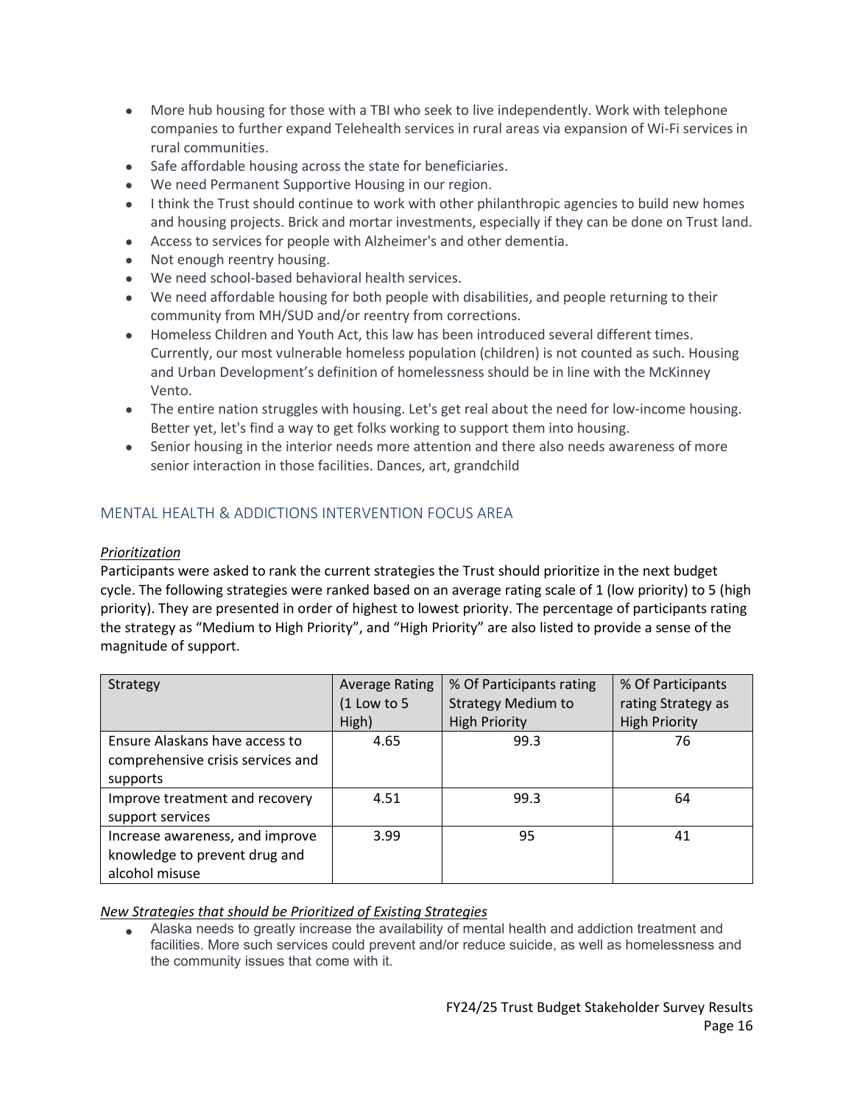- More hub housing for those with a TBI who seek to live independently. Work with telephone companies to further expand Telehealth services in rural areas via expansion of Wi-Fi services in rural communities.
- Safe affordable housing across the state for beneficiaries.
- We need Permanent Supportive Housing in our region.
- I think the Trust should continue to work with other philanthropic agencies to build new homes and housing projects. Brick and mortar investments, especially if they can be done on Trust land.
- Access to services for people with Alzheimer's and other dementia.
- Not enough reentry housing.
- We need school-based behavioral health services.
- We need affordable housing for both people with disabilities, and people returning to their community from MH/SUD and/or reentry from corrections.
- Homeless Children and Youth Act, this law has been introduced several different times. Currently, our most vulnerable homeless population (children) is not counted as such. Housing and Urban Development's definition of homelessness should be in line with the McKinney Vento.
- The entire nation struggles with housing. Let's get real about the need for low-income housing. Better yet, let's find a way to get folks working to support them into housing.
- Senior housing in the interior needs more attention and there also needs awareness of more senior interaction in those facilities. Dances, art, grandchild

## <span id="page-15-0"></span>MENTAL HEALTH & ADDICTIONS INTERVENTION FOCUS AREA

## *Prioritization*

Participants were asked to rank the current strategies the Trust should prioritize in the next budget cycle. The following strategies were ranked based on an average rating scale of 1 (low priority) to 5 (high priority). They are presented in order of highest to lowest priority. The percentage of participants rating the strategy as "Medium to High Priority", and "High Priority" are also listed to provide a sense of the magnitude of support.

| Strategy                          | <b>Average Rating</b> | % Of Participants rating  | % Of Participants    |
|-----------------------------------|-----------------------|---------------------------|----------------------|
|                                   | (1 Low to 5           | <b>Strategy Medium to</b> | rating Strategy as   |
|                                   | High)                 | <b>High Priority</b>      | <b>High Priority</b> |
| Ensure Alaskans have access to    | 4.65                  | 99.3                      | 76                   |
| comprehensive crisis services and |                       |                           |                      |
| supports                          |                       |                           |                      |
| Improve treatment and recovery    | 4.51                  | 99.3                      | 64                   |
| support services                  |                       |                           |                      |
| Increase awareness, and improve   | 3.99                  | 95                        | 41                   |
| knowledge to prevent drug and     |                       |                           |                      |
| alcohol misuse                    |                       |                           |                      |

## *New Strategies that should be Prioritized of Existing Strategies*

• Alaska needs to greatly increase the availability of mental health and addiction treatment and facilities. More such services could prevent and/or reduce suicide, as well as homelessness and the community issues that come with it.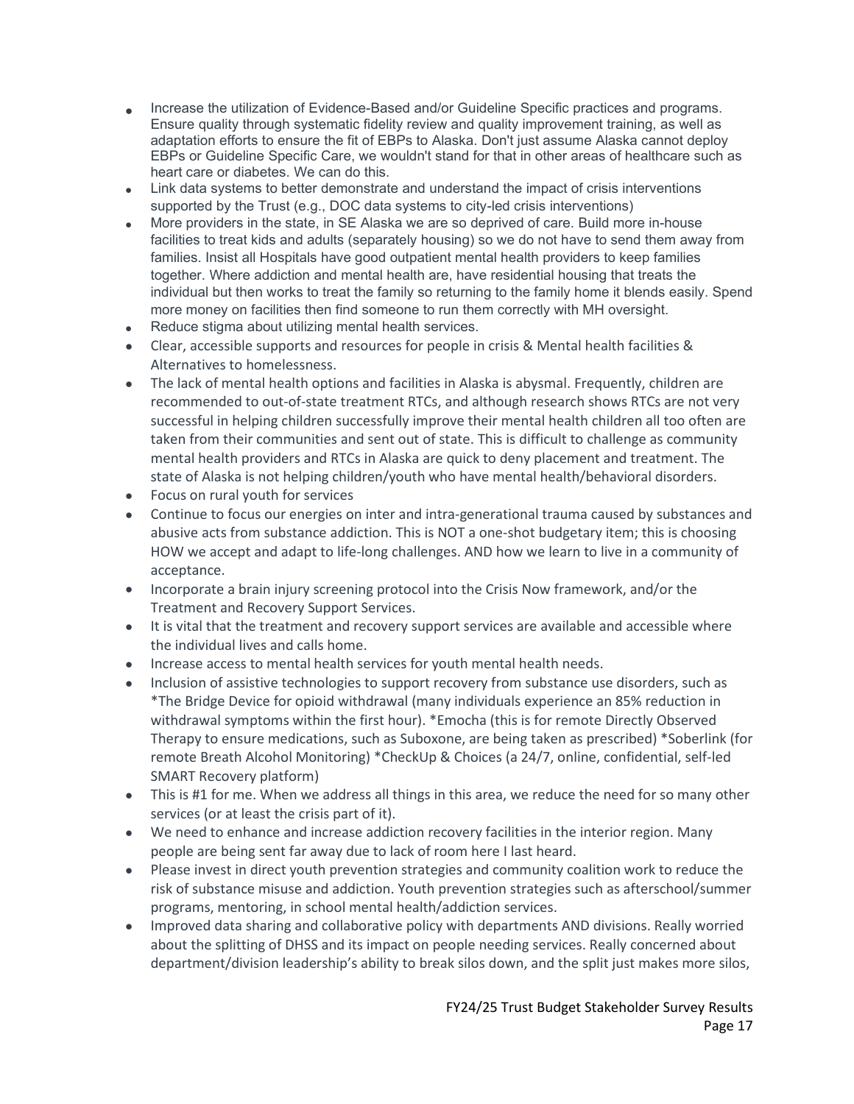- Increase the utilization of Evidence-Based and/or Guideline Specific practices and programs. Ensure quality through systematic fidelity review and quality improvement training, as well as adaptation efforts to ensure the fit of EBPs to Alaska. Don't just assume Alaska cannot deploy EBPs or Guideline Specific Care, we wouldn't stand for that in other areas of healthcare such as heart care or diabetes. We can do this.
- Link data systems to better demonstrate and understand the impact of crisis interventions supported by the Trust (e.g., DOC data systems to city-led crisis interventions)
- More providers in the state, in SE Alaska we are so deprived of care. Build more in-house facilities to treat kids and adults (separately housing) so we do not have to send them away from families. Insist all Hospitals have good outpatient mental health providers to keep families together. Where addiction and mental health are, have residential housing that treats the individual but then works to treat the family so returning to the family home it blends easily. Spend more money on facilities then find someone to run them correctly with MH oversight.
- Reduce stigma about utilizing mental health services.
- Clear, accessible supports and resources for people in crisis & Mental health facilities & Alternatives to homelessness.
- The lack of mental health options and facilities in Alaska is abysmal. Frequently, children are recommended to out-of-state treatment RTCs, and although research shows RTCs are not very successful in helping children successfully improve their mental health children all too often are taken from their communities and sent out of state. This is difficult to challenge as community mental health providers and RTCs in Alaska are quick to deny placement and treatment. The state of Alaska is not helping children/youth who have mental health/behavioral disorders.
- Focus on rural youth for services
- Continue to focus our energies on inter and intra-generational trauma caused by substances and abusive acts from substance addiction. This is NOT a one-shot budgetary item; this is choosing HOW we accept and adapt to life-long challenges. AND how we learn to live in a community of acceptance.
- Incorporate a brain injury screening protocol into the Crisis Now framework, and/or the Treatment and Recovery Support Services.
- It is vital that the treatment and recovery support services are available and accessible where the individual lives and calls home.
- Increase access to mental health services for youth mental health needs.
- Inclusion of assistive technologies to support recovery from substance use disorders, such as \*The Bridge Device for opioid withdrawal (many individuals experience an 85% reduction in withdrawal symptoms within the first hour). \*Emocha (this is for remote Directly Observed Therapy to ensure medications, such as Suboxone, are being taken as prescribed) \*Soberlink (for remote Breath Alcohol Monitoring) \*CheckUp & Choices (a 24/7, online, confidential, self-led SMART Recovery platform)
- This is #1 for me. When we address all things in this area, we reduce the need for so many other services (or at least the crisis part of it).
- We need to enhance and increase addiction recovery facilities in the interior region. Many people are being sent far away due to lack of room here I last heard.
- Please invest in direct youth prevention strategies and community coalition work to reduce the risk of substance misuse and addiction. Youth prevention strategies such as afterschool/summer programs, mentoring, in school mental health/addiction services.
- Improved data sharing and collaborative policy with departments AND divisions. Really worried about the splitting of DHSS and its impact on people needing services. Really concerned about department/division leadership's ability to break silos down, and the split just makes more silos,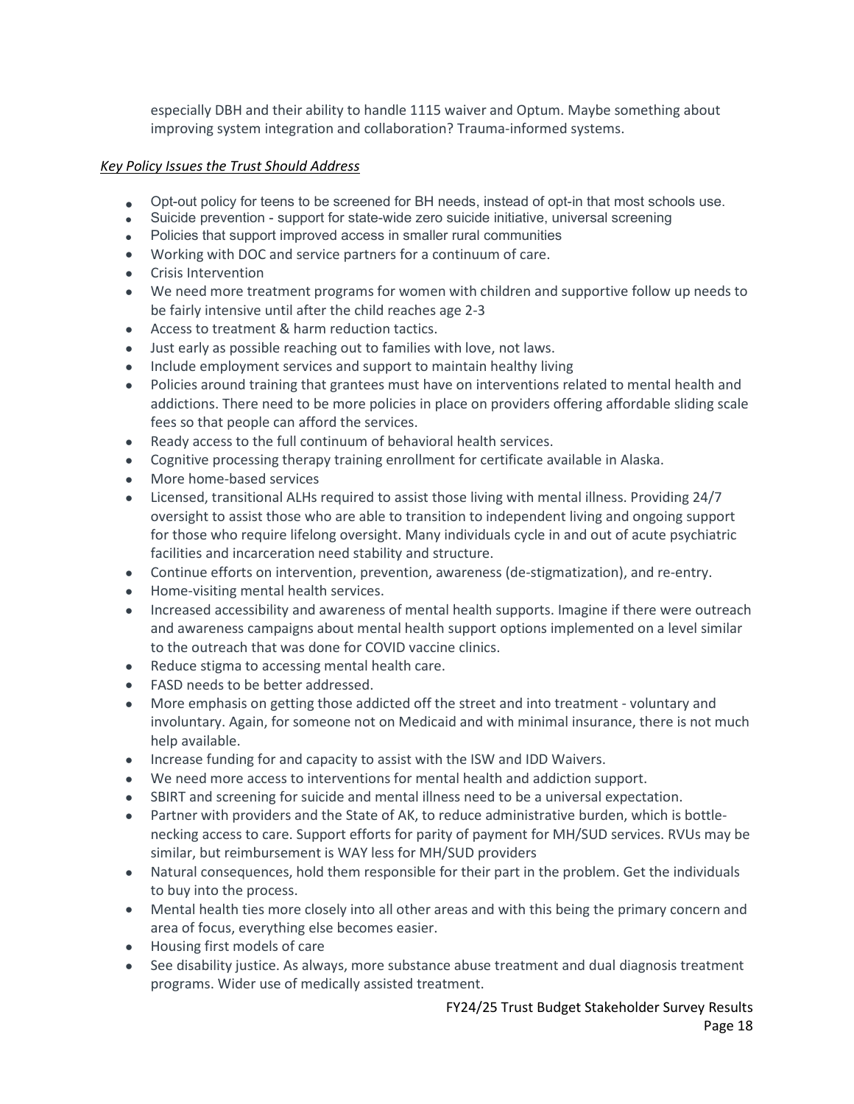especially DBH and their ability to handle 1115 waiver and Optum. Maybe something about improving system integration and collaboration? Trauma-informed systems.

- Opt-out policy for teens to be screened for BH needs, instead of opt-in that most schools use.
- Suicide prevention support for state-wide zero suicide initiative, universal screening
- Policies that support improved access in smaller rural communities
- Working with DOC and service partners for a continuum of care.
- Crisis Intervention
- We need more treatment programs for women with children and supportive follow up needs to be fairly intensive until after the child reaches age 2-3
- Access to treatment & harm reduction tactics.
- Just early as possible reaching out to families with love, not laws.
- Include employment services and support to maintain healthy living
- Policies around training that grantees must have on interventions related to mental health and addictions. There need to be more policies in place on providers offering affordable sliding scale fees so that people can afford the services.
- Ready access to the full continuum of behavioral health services.
- Cognitive processing therapy training enrollment for certificate available in Alaska.
- More home-based services
- Licensed, transitional ALHs required to assist those living with mental illness. Providing 24/7 oversight to assist those who are able to transition to independent living and ongoing support for those who require lifelong oversight. Many individuals cycle in and out of acute psychiatric facilities and incarceration need stability and structure.
- Continue efforts on intervention, prevention, awareness (de-stigmatization), and re-entry.
- Home-visiting mental health services.
- Increased accessibility and awareness of mental health supports. Imagine if there were outreach and awareness campaigns about mental health support options implemented on a level similar to the outreach that was done for COVID vaccine clinics.
- Reduce stigma to accessing mental health care.
- FASD needs to be better addressed.
- More emphasis on getting those addicted off the street and into treatment voluntary and involuntary. Again, for someone not on Medicaid and with minimal insurance, there is not much help available.
- Increase funding for and capacity to assist with the ISW and IDD Waivers.
- We need more access to interventions for mental health and addiction support.
- SBIRT and screening for suicide and mental illness need to be a universal expectation.
- Partner with providers and the State of AK, to reduce administrative burden, which is bottlenecking access to care. Support efforts for parity of payment for MH/SUD services. RVUs may be similar, but reimbursement is WAY less for MH/SUD providers
- Natural consequences, hold them responsible for their part in the problem. Get the individuals to buy into the process.
- Mental health ties more closely into all other areas and with this being the primary concern and area of focus, everything else becomes easier.
- Housing first models of care
- See disability justice. As always, more substance abuse treatment and dual diagnosis treatment programs. Wider use of medically assisted treatment.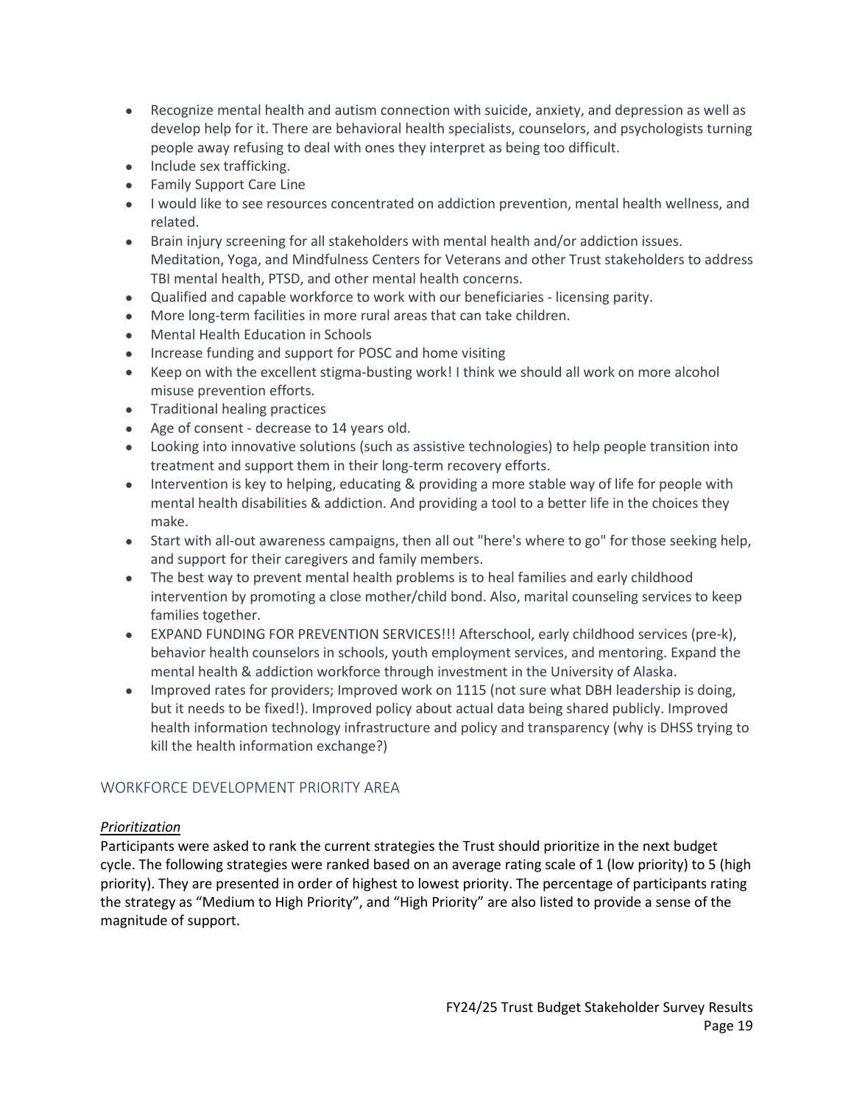- Recognize mental health and autism connection with suicide, anxiety, and depression as well as develop help for it. There are behavioral health specialists, counselors, and psychologists turning people away refusing to deal with ones they interpret as being too difficult.
- Include sex trafficking.
- Family Support Care Line
- I would like to see resources concentrated on addiction prevention, mental health wellness, and related.
- Brain injury screening for all stakeholders with mental health and/or addiction issues. Meditation, Yoga, and Mindfulness Centers for Veterans and other Trust stakeholders to address TBI mental health, PTSD, and other mental health concerns.
- Qualified and capable workforce to work with our beneficiaries licensing parity.
- More long-term facilities in more rural areas that can take children.
- Mental Health Education in Schools
- Increase funding and support for POSC and home visiting
- Keep on with the excellent stigma-busting work! I think we should all work on more alcohol misuse prevention efforts.
- Traditional healing practices
- Age of consent decrease to 14 years old.
- Looking into innovative solutions (such as assistive technologies) to help people transition into treatment and support them in their long-term recovery efforts.
- Intervention is key to helping, educating & providing a more stable way of life for people with mental health disabilities & addiction. And providing a tool to a better life in the choices they make.
- Start with all-out awareness campaigns, then all out "here's where to go" for those seeking help, and support for their caregivers and family members.
- The best way to prevent mental health problems is to heal families and early childhood intervention by promoting a close mother/child bond. Also, marital counseling services to keep families together.
- EXPAND FUNDING FOR PREVENTION SERVICES!!! Afterschool, early childhood services (pre-k), behavior health counselors in schools, youth employment services, and mentoring. Expand the mental health & addiction workforce through investment in the University of Alaska.
- Improved rates for providers; Improved work on 1115 (not sure what DBH leadership is doing, but it needs to be fixed!). Improved policy about actual data being shared publicly. Improved health information technology infrastructure and policy and transparency (why is DHSS trying to kill the health information exchange?)

## <span id="page-18-0"></span>WORKFORCE DEVELOPMENT PRIORITY AREA

## *Prioritization*

Participants were asked to rank the current strategies the Trust should prioritize in the next budget cycle. The following strategies were ranked based on an average rating scale of 1 (low priority) to 5 (high priority). They are presented in order of highest to lowest priority. The percentage of participants rating the strategy as "Medium to High Priority", and "High Priority" are also listed to provide a sense of the magnitude of support.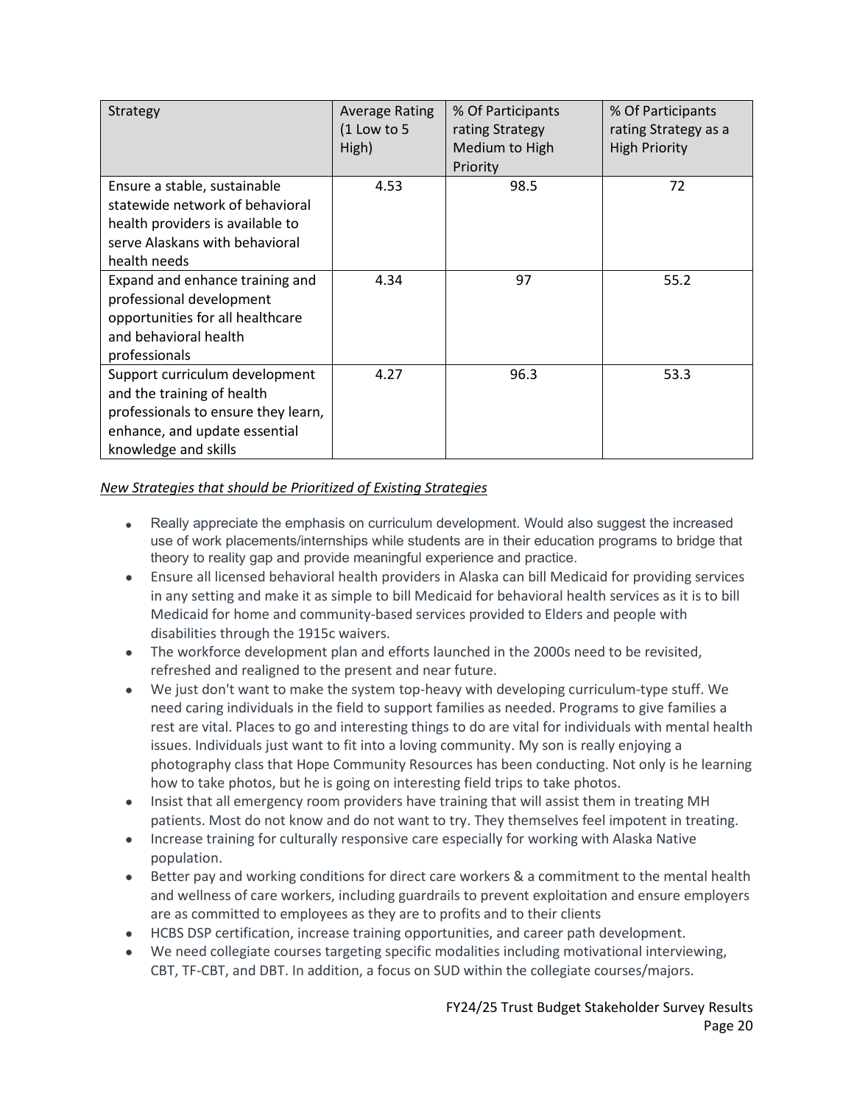| Strategy                                                                                                                                                     | <b>Average Rating</b><br>$(1$ Low to 5<br>High) | % Of Participants<br>rating Strategy<br>Medium to High<br>Priority | % Of Participants<br>rating Strategy as a<br><b>High Priority</b> |
|--------------------------------------------------------------------------------------------------------------------------------------------------------------|-------------------------------------------------|--------------------------------------------------------------------|-------------------------------------------------------------------|
| Ensure a stable, sustainable<br>statewide network of behavioral<br>health providers is available to<br>serve Alaskans with behavioral<br>health needs        | 4.53                                            | 98.5                                                               | 72                                                                |
| Expand and enhance training and<br>professional development<br>opportunities for all healthcare<br>and behavioral health<br>professionals                    | 4.34                                            | 97                                                                 | 55.2                                                              |
| Support curriculum development<br>and the training of health<br>professionals to ensure they learn,<br>enhance, and update essential<br>knowledge and skills | 4.27                                            | 96.3                                                               | 53.3                                                              |

- Really appreciate the emphasis on curriculum development. Would also suggest the increased use of work placements/internships while students are in their education programs to bridge that theory to reality gap and provide meaningful experience and practice.
- Ensure all licensed behavioral health providers in Alaska can bill Medicaid for providing services in any setting and make it as simple to bill Medicaid for behavioral health services as it is to bill Medicaid for home and community-based services provided to Elders and people with disabilities through the 1915c waivers.
- The workforce development plan and efforts launched in the 2000s need to be revisited, refreshed and realigned to the present and near future.
- We just don't want to make the system top-heavy with developing curriculum-type stuff. We need caring individuals in the field to support families as needed. Programs to give families a rest are vital. Places to go and interesting things to do are vital for individuals with mental health issues. Individuals just want to fit into a loving community. My son is really enjoying a photography class that Hope Community Resources has been conducting. Not only is he learning how to take photos, but he is going on interesting field trips to take photos.
- Insist that all emergency room providers have training that will assist them in treating MH patients. Most do not know and do not want to try. They themselves feel impotent in treating.
- Increase training for culturally responsive care especially for working with Alaska Native population.
- Better pay and working conditions for direct care workers & a commitment to the mental health and wellness of care workers, including guardrails to prevent exploitation and ensure employers are as committed to employees as they are to profits and to their clients
- HCBS DSP certification, increase training opportunities, and career path development.
- We need collegiate courses targeting specific modalities including motivational interviewing, CBT, TF-CBT, and DBT. In addition, a focus on SUD within the collegiate courses/majors.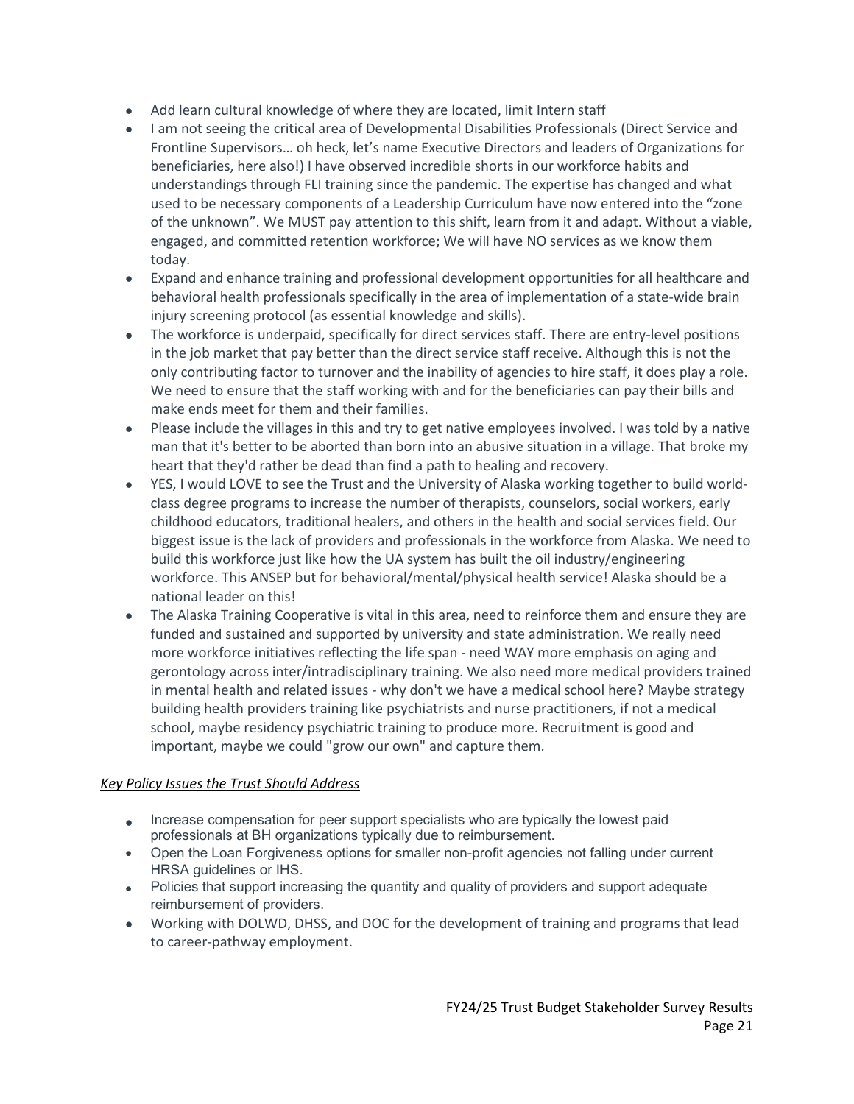- Add learn cultural knowledge of where they are located, limit Intern staff
- I am not seeing the critical area of Developmental Disabilities Professionals (Direct Service and Frontline Supervisors… oh heck, let's name Executive Directors and leaders of Organizations for beneficiaries, here also!) I have observed incredible shorts in our workforce habits and understandings through FLI training since the pandemic. The expertise has changed and what used to be necessary components of a Leadership Curriculum have now entered into the "zone of the unknown". We MUST pay attention to this shift, learn from it and adapt. Without a viable, engaged, and committed retention workforce; We will have NO services as we know them today.
- Expand and enhance training and professional development opportunities for all healthcare and behavioral health professionals specifically in the area of implementation of a state-wide brain injury screening protocol (as essential knowledge and skills).
- The workforce is underpaid, specifically for direct services staff. There are entry-level positions in the job market that pay better than the direct service staff receive. Although this is not the only contributing factor to turnover and the inability of agencies to hire staff, it does play a role. We need to ensure that the staff working with and for the beneficiaries can pay their bills and make ends meet for them and their families.
- Please include the villages in this and try to get native employees involved. I was told by a native man that it's better to be aborted than born into an abusive situation in a village. That broke my heart that they'd rather be dead than find a path to healing and recovery.
- YES, I would LOVE to see the Trust and the University of Alaska working together to build worldclass degree programs to increase the number of therapists, counselors, social workers, early childhood educators, traditional healers, and others in the health and social services field. Our biggest issue is the lack of providers and professionals in the workforce from Alaska. We need to build this workforce just like how the UA system has built the oil industry/engineering workforce. This ANSEP but for behavioral/mental/physical health service! Alaska should be a national leader on this!
- The Alaska Training Cooperative is vital in this area, need to reinforce them and ensure they are funded and sustained and supported by university and state administration. We really need more workforce initiatives reflecting the life span - need WAY more emphasis on aging and gerontology across inter/intradisciplinary training. We also need more medical providers trained in mental health and related issues - why don't we have a medical school here? Maybe strategy building health providers training like psychiatrists and nurse practitioners, if not a medical school, maybe residency psychiatric training to produce more. Recruitment is good and important, maybe we could "grow our own" and capture them.

- Increase compensation for peer support specialists who are typically the lowest paid professionals at BH organizations typically due to reimbursement.
- Open the Loan Forgiveness options for smaller non-profit agencies not falling under current HRSA guidelines or IHS.
- Policies that support increasing the quantity and quality of providers and support adequate reimbursement of providers.
- Working with DOLWD, DHSS, and DOC for the development of training and programs that lead to career-pathway employment.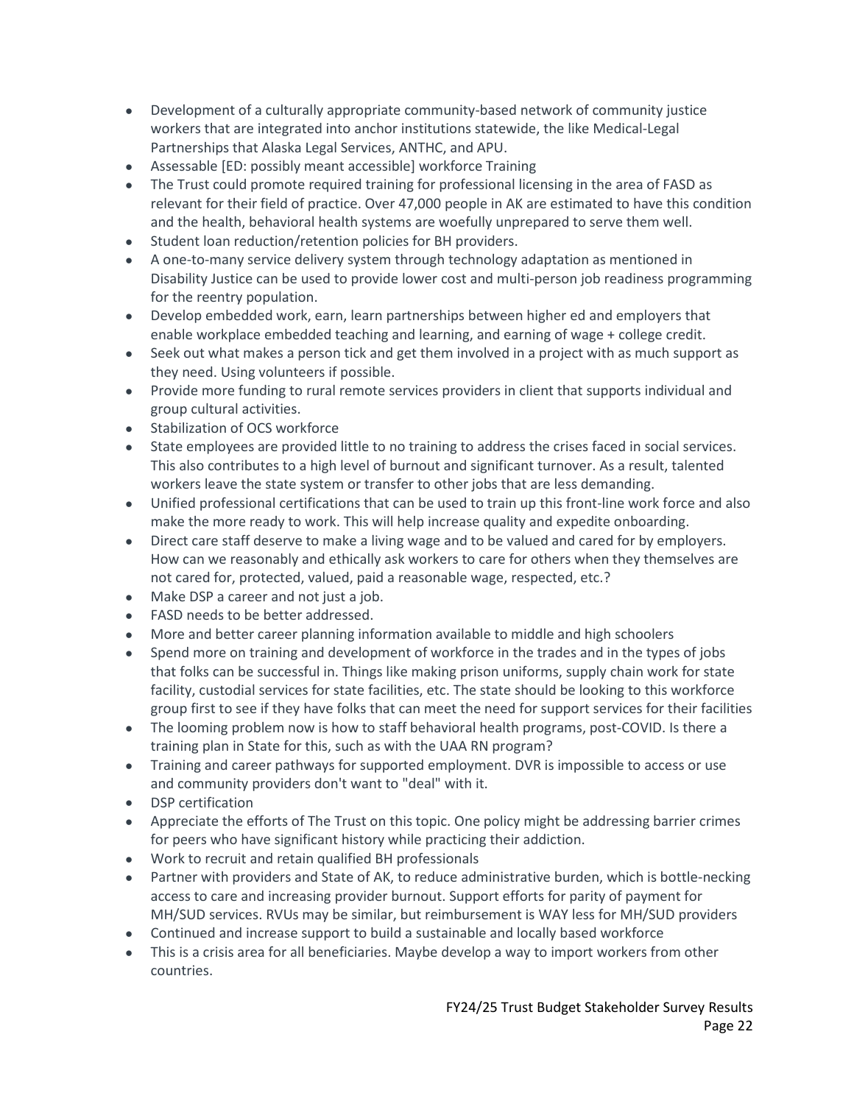- Development of a culturally appropriate community-based network of community justice workers that are integrated into anchor institutions statewide, the like Medical-Legal Partnerships that Alaska Legal Services, ANTHC, and APU.
- Assessable [ED: possibly meant accessible] workforce Training
- The Trust could promote required training for professional licensing in the area of FASD as relevant for their field of practice. Over 47,000 people in AK are estimated to have this condition and the health, behavioral health systems are woefully unprepared to serve them well.
- Student loan reduction/retention policies for BH providers.
- A one-to-many service delivery system through technology adaptation as mentioned in Disability Justice can be used to provide lower cost and multi-person job readiness programming for the reentry population.
- Develop embedded work, earn, learn partnerships between higher ed and employers that enable workplace embedded teaching and learning, and earning of wage + college credit.
- Seek out what makes a person tick and get them involved in a project with as much support as they need. Using volunteers if possible.
- Provide more funding to rural remote services providers in client that supports individual and group cultural activities.
- Stabilization of OCS workforce
- State employees are provided little to no training to address the crises faced in social services. This also contributes to a high level of burnout and significant turnover. As a result, talented workers leave the state system or transfer to other jobs that are less demanding.
- Unified professional certifications that can be used to train up this front-line work force and also make the more ready to work. This will help increase quality and expedite onboarding.
- Direct care staff deserve to make a living wage and to be valued and cared for by employers. How can we reasonably and ethically ask workers to care for others when they themselves are not cared for, protected, valued, paid a reasonable wage, respected, etc.?
- Make DSP a career and not just a job.
- FASD needs to be better addressed.
- More and better career planning information available to middle and high schoolers
- Spend more on training and development of workforce in the trades and in the types of jobs that folks can be successful in. Things like making prison uniforms, supply chain work for state facility, custodial services for state facilities, etc. The state should be looking to this workforce group first to see if they have folks that can meet the need for support services for their facilities
- The looming problem now is how to staff behavioral health programs, post-COVID. Is there a training plan in State for this, such as with the UAA RN program?
- Training and career pathways for supported employment. DVR is impossible to access or use and community providers don't want to "deal" with it.
- DSP certification
- Appreciate the efforts of The Trust on this topic. One policy might be addressing barrier crimes for peers who have significant history while practicing their addiction.
- Work to recruit and retain qualified BH professionals
- Partner with providers and State of AK, to reduce administrative burden, which is bottle-necking access to care and increasing provider burnout. Support efforts for parity of payment for MH/SUD services. RVUs may be similar, but reimbursement is WAY less for MH/SUD providers
- Continued and increase support to build a sustainable and locally based workforce
- This is a crisis area for all beneficiaries. Maybe develop a way to import workers from other countries.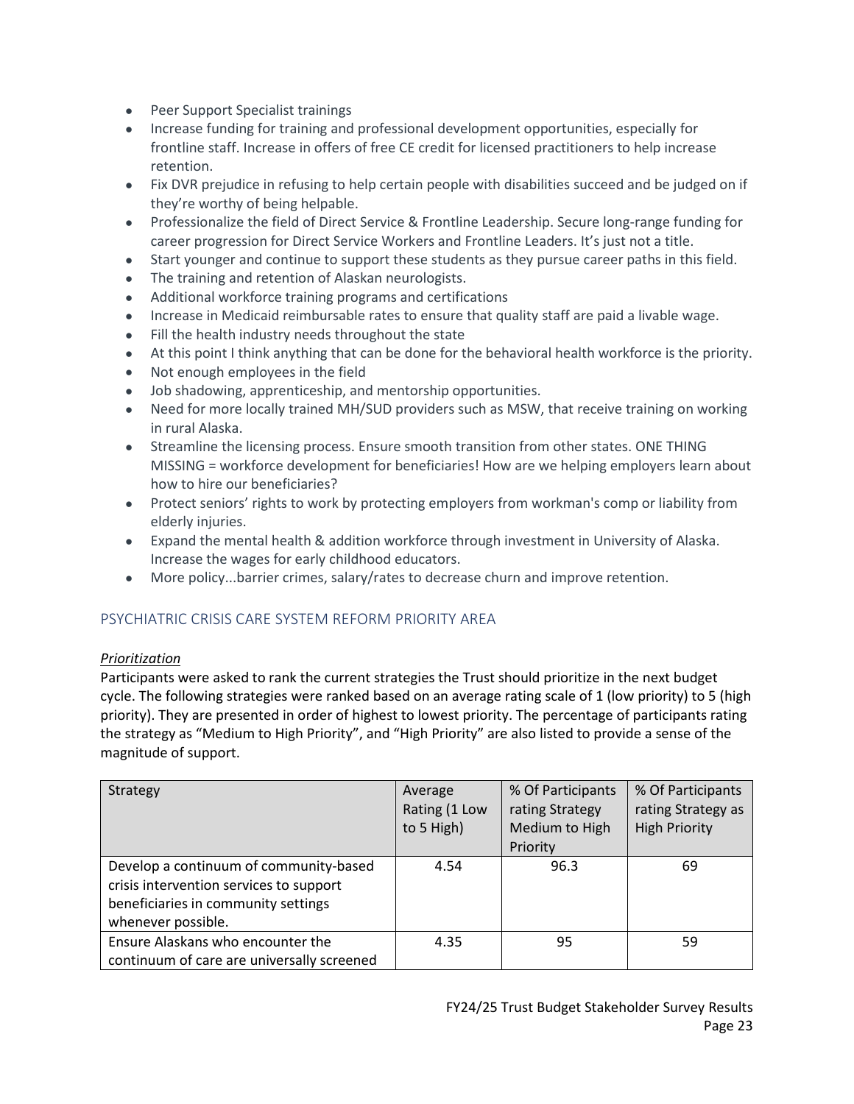- Peer Support Specialist trainings
- Increase funding for training and professional development opportunities, especially for frontline staff. Increase in offers of free CE credit for licensed practitioners to help increase retention.
- Fix DVR prejudice in refusing to help certain people with disabilities succeed and be judged on if they're worthy of being helpable.
- Professionalize the field of Direct Service & Frontline Leadership. Secure long-range funding for career progression for Direct Service Workers and Frontline Leaders. It's just not a title.
- Start younger and continue to support these students as they pursue career paths in this field.
- The training and retention of Alaskan neurologists.
- Additional workforce training programs and certifications
- Increase in Medicaid reimbursable rates to ensure that quality staff are paid a livable wage.
- Fill the health industry needs throughout the state
- At this point I think anything that can be done for the behavioral health workforce is the priority.
- Not enough employees in the field
- Job shadowing, apprenticeship, and mentorship opportunities.
- Need for more locally trained MH/SUD providers such as MSW, that receive training on working in rural Alaska.
- Streamline the licensing process. Ensure smooth transition from other states. ONE THING MISSING = workforce development for beneficiaries! How are we helping employers learn about how to hire our beneficiaries?
- Protect seniors' rights to work by protecting employers from workman's comp or liability from elderly injuries.
- Expand the mental health & addition workforce through investment in University of Alaska. Increase the wages for early childhood educators.
- More policy...barrier crimes, salary/rates to decrease churn and improve retention.

## <span id="page-22-0"></span>PSYCHIATRIC CRISIS CARE SYSTEM REFORM PRIORITY AREA

#### *Prioritization*

Participants were asked to rank the current strategies the Trust should prioritize in the next budget cycle. The following strategies were ranked based on an average rating scale of 1 (low priority) to 5 (high priority). They are presented in order of highest to lowest priority. The percentage of participants rating the strategy as "Medium to High Priority", and "High Priority" are also listed to provide a sense of the magnitude of support.

| Strategy                                                                                                                                       | Average<br>Rating (1 Low<br>to 5 High) | % Of Participants<br>rating Strategy<br>Medium to High<br>Priority | % Of Participants<br>rating Strategy as<br><b>High Priority</b> |
|------------------------------------------------------------------------------------------------------------------------------------------------|----------------------------------------|--------------------------------------------------------------------|-----------------------------------------------------------------|
| Develop a continuum of community-based<br>crisis intervention services to support<br>beneficiaries in community settings<br>whenever possible. | 4.54                                   | 96.3                                                               | 69                                                              |
| Ensure Alaskans who encounter the<br>continuum of care are universally screened                                                                | 4.35                                   | 95                                                                 | 59                                                              |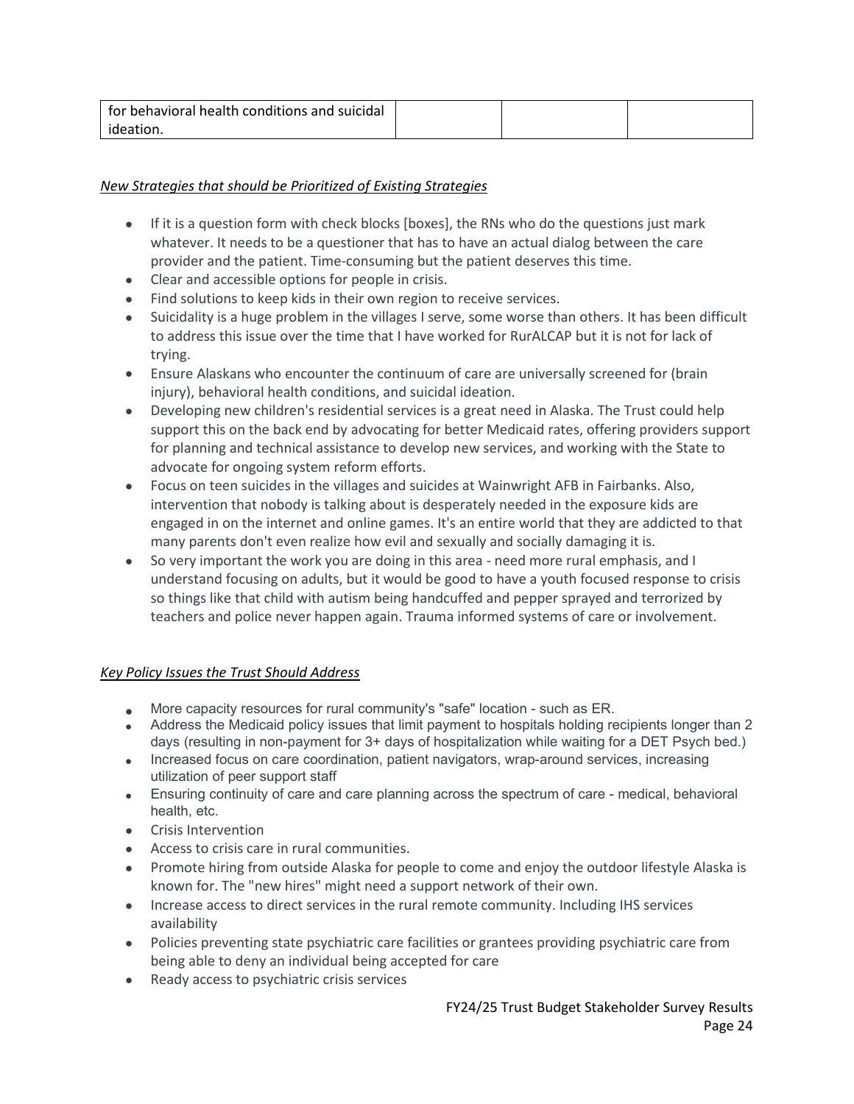| for behavioral health conditions and suicidal |  |  |
|-----------------------------------------------|--|--|
| ideation.                                     |  |  |

## *New Strategies that should be Prioritized of Existing Strategies*

- If it is a question form with check blocks [boxes], the RNs who do the questions just mark whatever. It needs to be a questioner that has to have an actual dialog between the care provider and the patient. Time-consuming but the patient deserves this time.
- Clear and accessible options for people in crisis.
- Find solutions to keep kids in their own region to receive services.
- Suicidality is a huge problem in the villages I serve, some worse than others. It has been difficult to address this issue over the time that I have worked for RurALCAP but it is not for lack of trying.
- Ensure Alaskans who encounter the continuum of care are universally screened for (brain injury), behavioral health conditions, and suicidal ideation.
- Developing new children's residential services is a great need in Alaska. The Trust could help support this on the back end by advocating for better Medicaid rates, offering providers support for planning and technical assistance to develop new services, and working with the State to advocate for ongoing system reform efforts.
- Focus on teen suicides in the villages and suicides at Wainwright AFB in Fairbanks. Also, intervention that nobody is talking about is desperately needed in the exposure kids are engaged in on the internet and online games. It's an entire world that they are addicted to that many parents don't even realize how evil and sexually and socially damaging it is.
- So very important the work you are doing in this area need more rural emphasis, and I understand focusing on adults, but it would be good to have a youth focused response to crisis so things like that child with autism being handcuffed and pepper sprayed and terrorized by teachers and police never happen again. Trauma informed systems of care or involvement.

- More capacity resources for rural community's "safe" location such as ER.
- Address the Medicaid policy issues that limit payment to hospitals holding recipients longer than 2 days (resulting in non-payment for 3+ days of hospitalization while waiting for a DET Psych bed.)
- Increased focus on care coordination, patient navigators, wrap-around services, increasing utilization of peer support staff
- Ensuring continuity of care and care planning across the spectrum of care medical, behavioral health, etc.
- Crisis Intervention
- Access to crisis care in rural communities.
- Promote hiring from outside Alaska for people to come and enjoy the outdoor lifestyle Alaska is known for. The "new hires" might need a support network of their own.
- Increase access to direct services in the rural remote community. Including IHS services availability
- Policies preventing state psychiatric care facilities or grantees providing psychiatric care from being able to deny an individual being accepted for care
- Ready access to psychiatric crisis services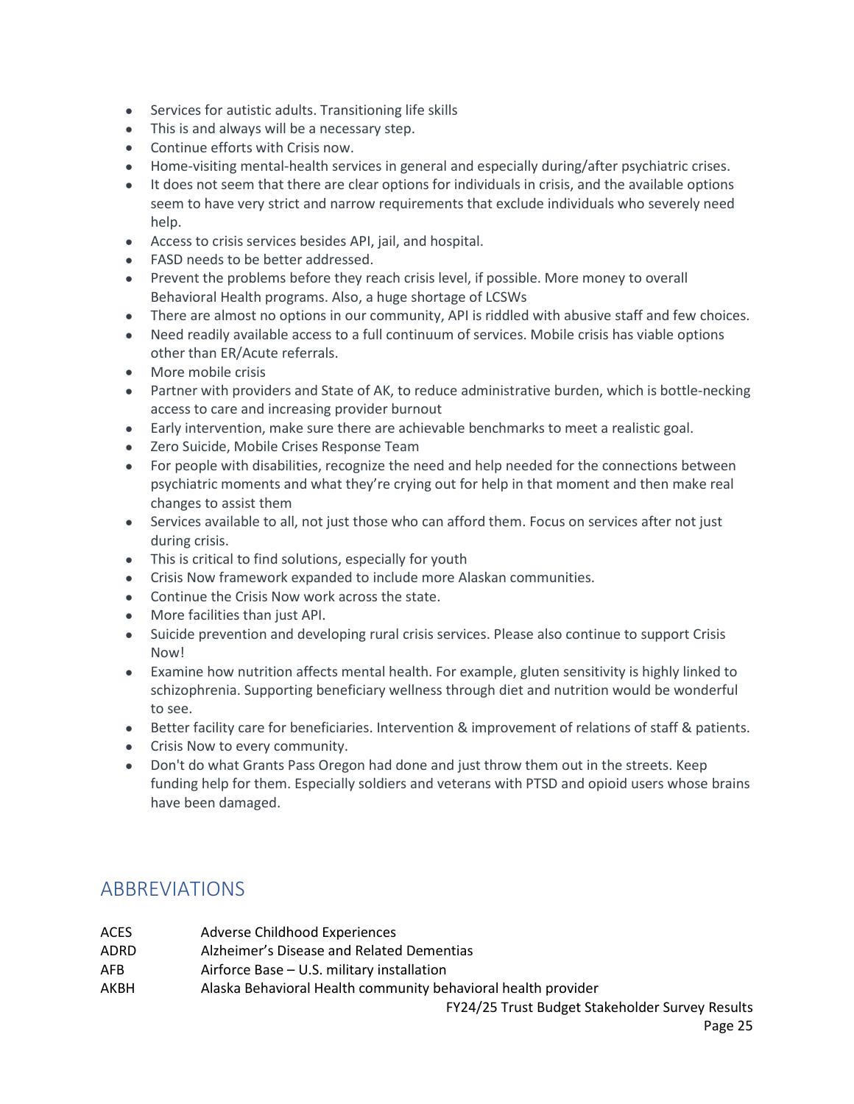- Services for autistic adults. Transitioning life skills
- This is and always will be a necessary step.
- Continue efforts with Crisis now.
- Home-visiting mental-health services in general and especially during/after psychiatric crises.
- It does not seem that there are clear options for individuals in crisis, and the available options seem to have very strict and narrow requirements that exclude individuals who severely need help.
- Access to crisis services besides API, jail, and hospital.
- FASD needs to be better addressed.
- Prevent the problems before they reach crisis level, if possible. More money to overall Behavioral Health programs. Also, a huge shortage of LCSWs
- There are almost no options in our community, API is riddled with abusive staff and few choices.
- Need readily available access to a full continuum of services. Mobile crisis has viable options other than ER/Acute referrals.
- More mobile crisis
- Partner with providers and State of AK, to reduce administrative burden, which is bottle-necking access to care and increasing provider burnout
- Early intervention, make sure there are achievable benchmarks to meet a realistic goal.
- Zero Suicide, Mobile Crises Response Team
- For people with disabilities, recognize the need and help needed for the connections between psychiatric moments and what they're crying out for help in that moment and then make real changes to assist them
- Services available to all, not just those who can afford them. Focus on services after not just during crisis.
- This is critical to find solutions, especially for youth
- Crisis Now framework expanded to include more Alaskan communities.
- Continue the Crisis Now work across the state.
- More facilities than just API.
- Suicide prevention and developing rural crisis services. Please also continue to support Crisis Now!
- Examine how nutrition affects mental health. For example, gluten sensitivity is highly linked to schizophrenia. Supporting beneficiary wellness through diet and nutrition would be wonderful to see.
- Better facility care for beneficiaries. Intervention & improvement of relations of staff & patients.
- Crisis Now to every community.
- Don't do what Grants Pass Oregon had done and just throw them out in the streets. Keep funding help for them. Especially soldiers and veterans with PTSD and opioid users whose brains have been damaged.

## <span id="page-24-0"></span>ABBREVIATIONS

| ACES | Adverse Childhood Experiences                                 |
|------|---------------------------------------------------------------|
| ADRD | Alzheimer's Disease and Related Dementias                     |
| AFB  | Airforce Base – U.S. military installation                    |
| АКВН | Alaska Behavioral Health community behavioral health provider |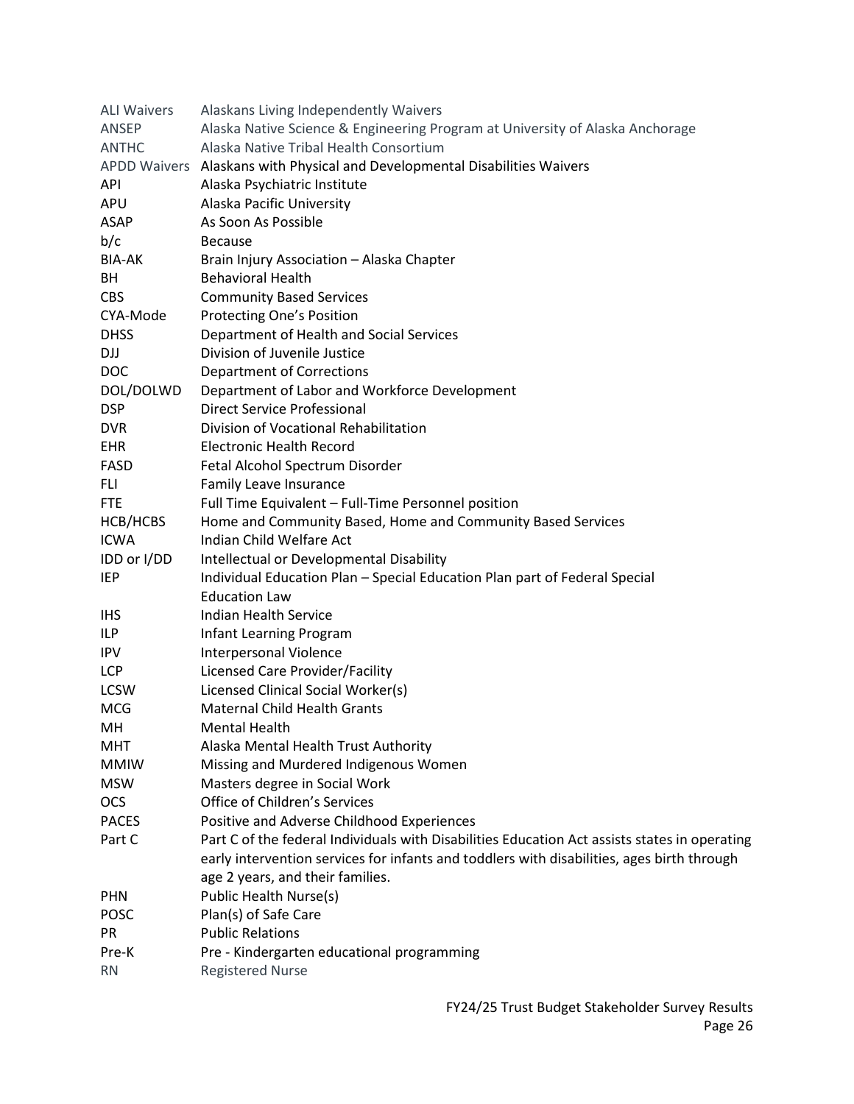| <b>ALI Waivers</b> | Alaskans Living Independently Waivers                                                         |
|--------------------|-----------------------------------------------------------------------------------------------|
| ANSEP              | Alaska Native Science & Engineering Program at University of Alaska Anchorage                 |
| <b>ANTHC</b>       | Alaska Native Tribal Health Consortium                                                        |
|                    | APDD Waivers Alaskans with Physical and Developmental Disabilities Waivers                    |
| API                | Alaska Psychiatric Institute                                                                  |
| APU                | Alaska Pacific University                                                                     |
| ASAP               | As Soon As Possible                                                                           |
| b/c                | <b>Because</b>                                                                                |
| <b>BIA-AK</b>      | Brain Injury Association - Alaska Chapter                                                     |
| BH                 | <b>Behavioral Health</b>                                                                      |
| <b>CBS</b>         | <b>Community Based Services</b>                                                               |
| CYA-Mode           | <b>Protecting One's Position</b>                                                              |
| <b>DHSS</b>        | Department of Health and Social Services                                                      |
| DJJ                | Division of Juvenile Justice                                                                  |
| <b>DOC</b>         | <b>Department of Corrections</b>                                                              |
| DOL/DOLWD          | Department of Labor and Workforce Development                                                 |
| <b>DSP</b>         | <b>Direct Service Professional</b>                                                            |
| <b>DVR</b>         | Division of Vocational Rehabilitation                                                         |
| EHR                | <b>Electronic Health Record</b>                                                               |
| <b>FASD</b>        | Fetal Alcohol Spectrum Disorder                                                               |
| FLI.               | Family Leave Insurance                                                                        |
| <b>FTE</b>         | Full Time Equivalent - Full-Time Personnel position                                           |
| HCB/HCBS           | Home and Community Based, Home and Community Based Services                                   |
| <b>ICWA</b>        | Indian Child Welfare Act                                                                      |
| IDD or I/DD        | Intellectual or Developmental Disability                                                      |
| <b>IEP</b>         | Individual Education Plan - Special Education Plan part of Federal Special                    |
|                    | <b>Education Law</b>                                                                          |
| IHS.               | Indian Health Service                                                                         |
| ILP                | Infant Learning Program                                                                       |
| <b>IPV</b>         | <b>Interpersonal Violence</b>                                                                 |
| LCP                | <b>Licensed Care Provider/Facility</b>                                                        |
| <b>LCSW</b>        | Licensed Clinical Social Worker(s)                                                            |
| <b>MCG</b>         | <b>Maternal Child Health Grants</b>                                                           |
| MН                 | Mental Health                                                                                 |
| MHT                | Alaska Mental Health Trust Authority                                                          |
| <b>MMIW</b>        | Missing and Murdered Indigenous Women                                                         |
| <b>MSW</b>         | Masters degree in Social Work                                                                 |
| <b>OCS</b>         | Office of Children's Services                                                                 |
| <b>PACES</b>       | Positive and Adverse Childhood Experiences                                                    |
| Part C             | Part C of the federal Individuals with Disabilities Education Act assists states in operating |
|                    | early intervention services for infants and toddlers with disabilities, ages birth through    |
|                    | age 2 years, and their families.                                                              |
| <b>PHN</b>         | Public Health Nurse(s)                                                                        |
| POSC               | Plan(s) of Safe Care                                                                          |
| PR                 | <b>Public Relations</b>                                                                       |
| Pre-K              | Pre - Kindergarten educational programming                                                    |
| <b>RN</b>          | <b>Registered Nurse</b>                                                                       |
|                    |                                                                                               |